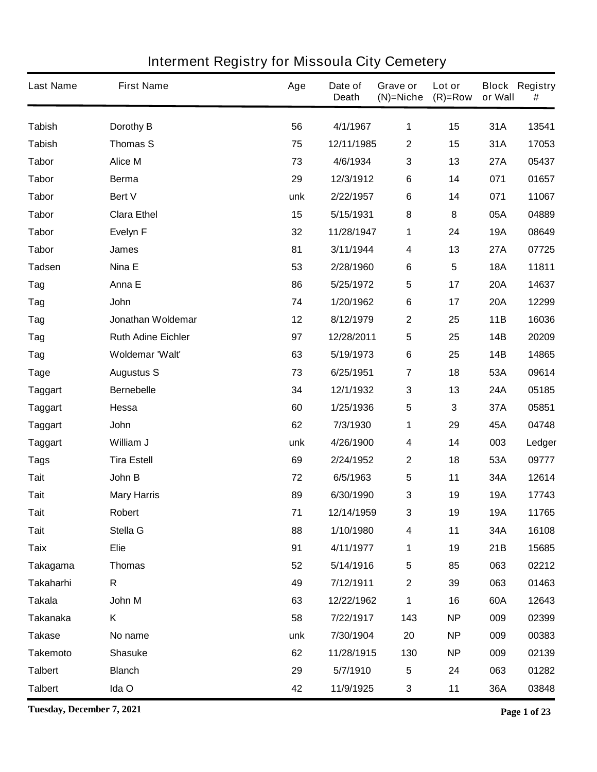| <b>Last Name</b> | <b>First Name</b>         | Age | Date of<br><b>Death</b> | Grave or<br>$(N)$ =Niche | Lot or<br>$(R)=Row$ | or Wall    | <b>Block Registry</b><br># |
|------------------|---------------------------|-----|-------------------------|--------------------------|---------------------|------------|----------------------------|
| <b>Tabish</b>    | Dorothy B                 | 56  | 4/1/1967                | 1                        | 15                  | 31A        | 13541                      |
| <b>Tabish</b>    | <b>Thomas S</b>           | 75  | 12/11/1985              | $\boldsymbol{2}$         | 15                  | 31A        | 17053                      |
| <b>Tabor</b>     | <b>Alice M</b>            | 73  | 4/6/1934                | 3                        | 13                  | <b>27A</b> | 05437                      |
| <b>Tabor</b>     | <b>Berma</b>              | 29  | 12/3/1912               | $\bf 6$                  | 14                  | 071        | 01657                      |
| <b>Tabor</b>     | Bert V                    | unk | 2/22/1957               | $\bf 6$                  | 14                  | 071        | 11067                      |
| <b>Tabor</b>     | <b>Clara Ethel</b>        | 15  | 5/15/1931               | 8                        | 8                   | 05A        | 04889                      |
| <b>Tabor</b>     | <b>Evelyn F</b>           | 32  | 11/28/1947              | 1                        | 24                  | <b>19A</b> | 08649                      |
| <b>Tabor</b>     | <b>James</b>              | 81  | 3/11/1944               | 4                        | 13                  | <b>27A</b> | 07725                      |
| <b>Tadsen</b>    | Nina E                    | 53  | 2/28/1960               | $\bf 6$                  | $5\phantom{.0}$     | <b>18A</b> | 11811                      |
| Tag              | Anna E                    | 86  | 5/25/1972               | 5                        | 17                  | <b>20A</b> | 14637                      |
| Tag              | John                      | 74  | 1/20/1962               | $\bf 6$                  | 17                  | <b>20A</b> | 12299                      |
| Tag              | Jonathan Woldemar         | 12  | 8/12/1979               | $\mathbf 2$              | 25                  | 11B        | 16036                      |
| Tag              | <b>Ruth Adine Eichler</b> | 97  | 12/28/2011              | 5                        | 25                  | 14B        | 20209                      |
| Tag              | Woldemar 'Walt'           | 63  | 5/19/1973               | $\bf 6$                  | 25                  | 14B        | 14865                      |
| <b>Tage</b>      | <b>Augustus S</b>         | 73  | 6/25/1951               | $\overline{7}$           | 18                  | 53A        | 09614                      |
| <b>Taggart</b>   | <b>Bernebelle</b>         | 34  | 12/1/1932               | 3                        | 13                  | 24A        | 05185                      |
| <b>Taggart</b>   | Hessa                     | 60  | 1/25/1936               | 5                        | 3                   | 37A        | 05851                      |
| <b>Taggart</b>   | <b>John</b>               | 62  | 7/3/1930                | 1                        | 29                  | 45A        | 04748                      |
| <b>Taggart</b>   | William J                 | unk | 4/26/1900               | 4                        | 14                  | 003        | Ledger                     |
| <b>Tags</b>      | <b>Tira Estell</b>        | 69  | 2/24/1952               | $\mathbf 2$              | 18                  | 53A        | 09777                      |
| <b>Tait</b>      | John B                    | 72  | 6/5/1963                | 5                        | 11                  | 34A        | 12614                      |
| <b>Tait</b>      | <b>Mary Harris</b>        | 89  | 6/30/1990               | 3                        | 19                  | <b>19A</b> | 17743                      |
| <b>Tait</b>      | Robert                    | 71  | 12/14/1959              | 3                        | 19                  | <b>19A</b> | 11765                      |
| <b>Tait</b>      | Stella G                  | 88  | 1/10/1980               | 4                        | 11                  | 34A        | 16108                      |
| <b>Taix</b>      | <b>Elie</b>               | 91  | 4/11/1977               | 1                        | 19                  | 21B        | 15685                      |
| <b>Takagama</b>  | <b>Thomas</b>             | 52  | 5/14/1916               | 5                        | 85                  | 063        | 02212                      |
| <b>Takaharhi</b> | R                         | 49  | 7/12/1911               | $\mathbf 2$              | 39                  | 063        | 01463                      |
| <b>Takala</b>    | John M                    | 63  | 12/22/1962              | 1                        | 16                  | 60A        | 12643                      |
| <b>Takanaka</b>  | Κ                         | 58  | 7/22/1917               | 143                      | <b>NP</b>           | 009        | 02399                      |
| <b>Takase</b>    | No name                   | unk | 7/30/1904               | 20                       | <b>NP</b>           | 009        | 00383                      |
| <b>Takemoto</b>  | <b>Shasuke</b>            | 62  | 11/28/1915              | 130                      | <b>NP</b>           | 009        | 02139                      |
| <b>Talbert</b>   | <b>Blanch</b>             | 29  | 5/7/1910                | 5                        | 24                  | 063        | 01282                      |
| <b>Talbert</b>   | Ida O                     | 42  | 11/9/1925               | $\mathbf{3}$             | 11                  | 36A        | 03848                      |

**Tuesday, December 7, 2021 Page 1 of 23**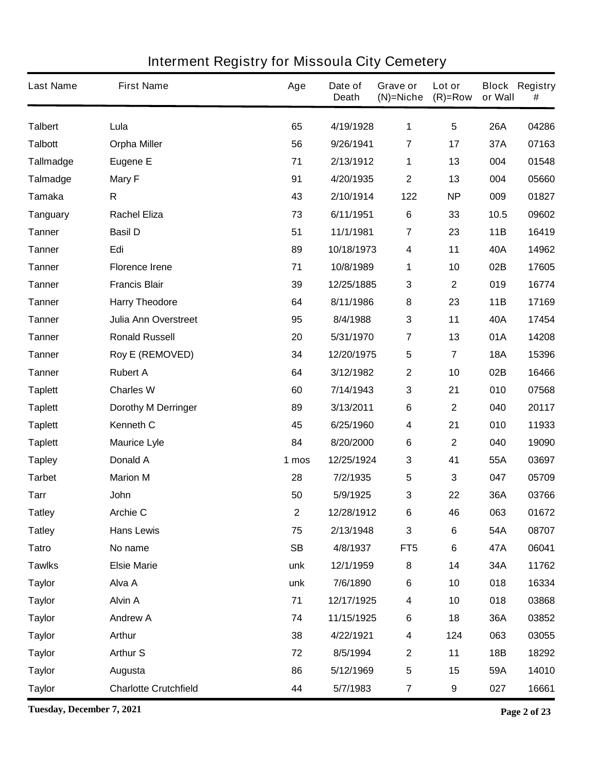| <b>Last Name</b> | <b>First Name</b>            | Age       | Date of<br><b>Death</b> | Grave or<br>$(N)$ =Niche | Lot or<br>$(R)=Row$     | or Wall    | <b>Block Registry</b><br># |
|------------------|------------------------------|-----------|-------------------------|--------------------------|-------------------------|------------|----------------------------|
| <b>Talbert</b>   | Lula                         | 65        | 4/19/1928               | 1                        | $5\phantom{.0}$         | <b>26A</b> | 04286                      |
| <b>Talbott</b>   | <b>Orpha Miller</b>          | 56        | 9/26/1941               | $\overline{7}$           | 17                      | 37A        | 07163                      |
| <b>Tallmadge</b> | <b>Eugene E</b>              | 71        | 2/13/1912               | 1                        | 13                      | 004        | 01548                      |
| <b>Talmadge</b>  | <b>Mary F</b>                | 91        | 4/20/1935               | $\mathbf{2}$             | 13                      | 004        | 05660                      |
| <b>Tamaka</b>    | R                            | 43        | 2/10/1914               | 122                      | <b>NP</b>               | 009        | 01827                      |
| <b>Tanguary</b>  | <b>Rachel Eliza</b>          | 73        | 6/11/1951               | $\bf 6$                  | 33                      | 10.5       | 09602                      |
| <b>Tanner</b>    | <b>Basil D</b>               | 51        | 11/1/1981               | $\overline{7}$           | 23                      | 11B        | 16419                      |
| <b>Tanner</b>    | Edi                          | 89        | 10/18/1973              | 4                        | 11                      | 40A        | 14962                      |
| <b>Tanner</b>    | <b>Florence Irene</b>        | 71        | 10/8/1989               | 1                        | 10                      | 02B        | 17605                      |
| <b>Tanner</b>    | <b>Francis Blair</b>         | 39        | 12/25/1885              | 3                        | $\mathbf 2$             | 019        | 16774                      |
| <b>Tanner</b>    | <b>Harry Theodore</b>        | 64        | 8/11/1986               | 8                        | 23                      | 11B        | 17169                      |
| <b>Tanner</b>    | <b>Julia Ann Overstreet</b>  | 95        | 8/4/1988                | 3                        | 11                      | 40A        | 17454                      |
| <b>Tanner</b>    | <b>Ronald Russell</b>        | 20        | 5/31/1970               | $\overline{\mathbf{7}}$  | 13                      | 01A        | 14208                      |
| <b>Tanner</b>    | <b>Roy E (REMOVED)</b>       | 34        | 12/20/1975              | 5                        | $\overline{\mathbf{7}}$ | <b>18A</b> | 15396                      |
| <b>Tanner</b>    | <b>Rubert A</b>              | 64        | 3/12/1982               | $\mathbf 2$              | 10                      | 02B        | 16466                      |
| <b>Taplett</b>   | <b>Charles W</b>             | 60        | 7/14/1943               | 3                        | 21                      | 010        | 07568                      |
| <b>Taplett</b>   | <b>Dorothy M Derringer</b>   | 89        | 3/13/2011               | $\bf 6$                  | 2                       | 040        | 20117                      |
| <b>Taplett</b>   | Kenneth C                    | 45        | 6/25/1960               | 4                        | 21                      | 010        | 11933                      |
| <b>Taplett</b>   | <b>Maurice Lyle</b>          | 84        | 8/20/2000               | $\bf 6$                  | 2                       | 040        | 19090                      |
| <b>Tapley</b>    | <b>Donald A</b>              | 1 mos     | 12/25/1924              | 3                        | 41                      | 55A        | 03697                      |
| <b>Tarbet</b>    | <b>Marion M</b>              | 28        | 7/2/1935                | 5                        | 3                       | 047        | 05709                      |
| <b>Tarr</b>      | John                         | 50        | 5/9/1925                | 3                        | 22                      | 36A        | 03766                      |
| <b>Tatley</b>    | <b>Archie C</b>              | 2         | 12/28/1912              | 6                        | 46                      | 063        | 01672                      |
| <b>Tatley</b>    | <b>Hans Lewis</b>            | 75        | 2/13/1948               | $\mathbf 3$              | $\bf 6$                 | 54A        | 08707                      |
| <b>Tatro</b>     | No name                      | <b>SB</b> | 4/8/1937                | FT <sub>5</sub>          | 6                       | 47A        | 06041                      |
| <b>Tawlks</b>    | <b>Elsie Marie</b>           | unk       | 12/1/1959               | 8                        | 14                      | 34A        | 11762                      |
| <b>Taylor</b>    | Alva A                       | unk       | 7/6/1890                | $\bf 6$                  | 10                      | 018        | 16334                      |
| <b>Taylor</b>    | <b>Alvin A</b>               | 71        | 12/17/1925              | 4                        | 10                      | 018        | 03868                      |
| <b>Taylor</b>    | <b>Andrew A</b>              | 74        | 11/15/1925              | $\bf 6$                  | 18                      | 36A        | 03852                      |
| <b>Taylor</b>    | <b>Arthur</b>                | 38        | 4/22/1921               | 4                        | 124                     | 063        | 03055                      |
| <b>Taylor</b>    | <b>Arthur S</b>              | 72        | 8/5/1994                | $\mathbf{2}$             | 11                      | 18B        | 18292                      |
| <b>Taylor</b>    | Augusta                      | 86        | 5/12/1969               | 5                        | 15                      | 59A        | 14010                      |
| <b>Taylor</b>    | <b>Charlotte Crutchfield</b> | 44        | 5/7/1983                | $\overline{7}$           | 9                       | 027        | 16661                      |

**Tuesday, December 7, 2021 Page 2 of 23**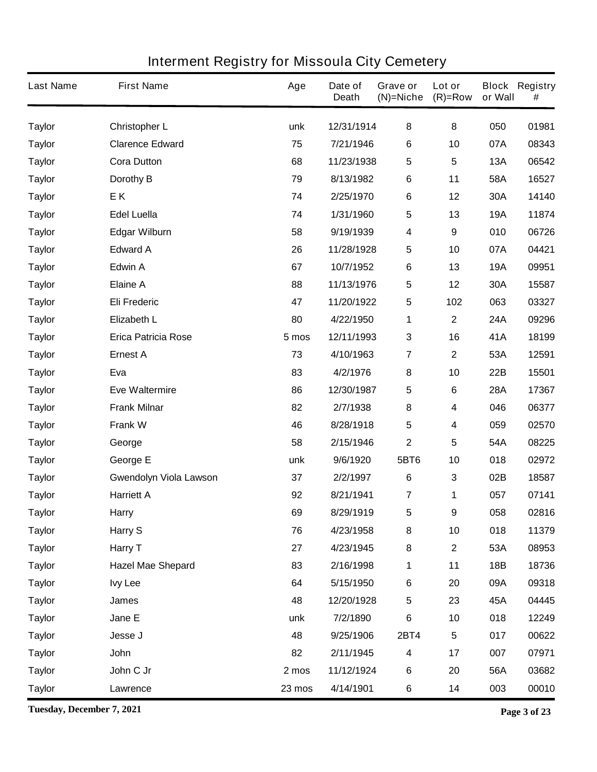| <b>Last Name</b> | <b>First Name</b>             | Age    | Date of<br><b>Death</b> | Grave or<br>$(N)$ =Niche | Lot or<br>$(R)=Row$     | or Wall    | <b>Block Registry</b><br># |
|------------------|-------------------------------|--------|-------------------------|--------------------------|-------------------------|------------|----------------------------|
| <b>Taylor</b>    | <b>Christopher L</b>          | unk    | 12/31/1914              | 8                        | 8                       | 050        | 01981                      |
| <b>Taylor</b>    | <b>Clarence Edward</b>        | 75     | 7/21/1946               | 6                        | 10                      | 07A        | 08343                      |
| <b>Taylor</b>    | <b>Cora Dutton</b>            | 68     | 11/23/1938              | 5                        | $5\phantom{.0}$         | 13A        | 06542                      |
| <b>Taylor</b>    | Dorothy B                     | 79     | 8/13/1982               | $\bf 6$                  | 11                      | 58A        | 16527                      |
| <b>Taylor</b>    | EK                            | 74     | 2/25/1970               | $\bf 6$                  | 12                      | 30A        | 14140                      |
| <b>Taylor</b>    | <b>Edel Luella</b>            | 74     | 1/31/1960               | 5                        | 13                      | <b>19A</b> | 11874                      |
| <b>Taylor</b>    | <b>Edgar Wilburn</b>          | 58     | 9/19/1939               | 4                        | 9                       | 010        | 06726                      |
| <b>Taylor</b>    | <b>Edward A</b>               | 26     | 11/28/1928              | 5                        | 10                      | 07A        | 04421                      |
| <b>Taylor</b>    | <b>Edwin A</b>                | 67     | 10/7/1952               | $\bf 6$                  | 13                      | <b>19A</b> | 09951                      |
| <b>Taylor</b>    | <b>Elaine A</b>               | 88     | 11/13/1976              | 5                        | 12                      | 30A        | 15587                      |
| <b>Taylor</b>    | <b>Eli Frederic</b>           | 47     | 11/20/1922              | 5                        | 102                     | 063        | 03327                      |
| <b>Taylor</b>    | <b>Elizabeth L</b>            | 80     | 4/22/1950               | 1                        | $\mathbf 2$             | 24A        | 09296                      |
| <b>Taylor</b>    | <b>Erica Patricia Rose</b>    | 5 mos  | 12/11/1993              | 3                        | 16                      | 41A        | 18199                      |
| <b>Taylor</b>    | <b>Ernest A</b>               | 73     | 4/10/1963               | $\overline{\mathbf{7}}$  | $\mathbf 2$             | 53A        | 12591                      |
| <b>Taylor</b>    | Eva                           | 83     | 4/2/1976                | 8                        | 10                      | 22B        | 15501                      |
| <b>Taylor</b>    | <b>Eve Waltermire</b>         | 86     | 12/30/1987              | 5                        | 6                       | <b>28A</b> | 17367                      |
| <b>Taylor</b>    | <b>Frank Milnar</b>           | 82     | 2/7/1938                | 8                        | 4                       | 046        | 06377                      |
| <b>Taylor</b>    | <b>Frank W</b>                | 46     | 8/28/1918               | 5                        | 4                       | 059        | 02570                      |
| <b>Taylor</b>    | George                        | 58     | 2/15/1946               | $\mathbf 2$              | 5                       | 54A        | 08225                      |
| <b>Taylor</b>    | George E                      | unk    | 9/6/1920                | 5BT6                     | 10                      | 018        | 02972                      |
| <b>Taylor</b>    | <b>Gwendolyn Viola Lawson</b> | 37     | 2/2/1997                | $\bf 6$                  | 3                       | 02B        | 18587                      |
| <b>Taylor</b>    | <b>Harriett A</b>             | 92     | 8/21/1941               | 7                        | 1                       | 057        | 07141                      |
| <b>Taylor</b>    | <b>Harry</b>                  | 69     | 8/29/1919               | 5                        | 9                       | 058        | 02816                      |
| <b>Taylor</b>    | Harry S                       | 76     | 4/23/1958               | 8                        | 10                      | 018        | 11379                      |
| <b>Taylor</b>    | Harry T                       | 27     | 4/23/1945               | ${\bf 8}$                | $\overline{\mathbf{2}}$ | 53A        | 08953                      |
| <b>Taylor</b>    | <b>Hazel Mae Shepard</b>      | 83     | 2/16/1998               | 1                        | 11                      | 18B        | 18736                      |
| <b>Taylor</b>    | <b>Ivy Lee</b>                | 64     | 5/15/1950               | $\bf 6$                  | 20                      | 09A        | 09318                      |
| <b>Taylor</b>    | <b>James</b>                  | 48     | 12/20/1928              | 5                        | 23                      | 45A        | 04445                      |
| <b>Taylor</b>    | Jane E                        | unk    | 7/2/1890                | $\bf 6$                  | 10                      | 018        | 12249                      |
| <b>Taylor</b>    | Jesse J                       | 48     | 9/25/1906               | <b>2BT4</b>              | $\overline{\mathbf{5}}$ | 017        | 00622                      |
| <b>Taylor</b>    | John                          | 82     | 2/11/1945               | 4                        | 17                      | 007        | 07971                      |
| <b>Taylor</b>    | John C Jr                     | 2 mos  | 11/12/1924              | $\bf 6$                  | 20                      | 56A        | 03682                      |
| <b>Taylor</b>    | Lawrence                      | 23 mos | 4/14/1901               | 6                        | 14                      | 003        | 00010                      |

**Tuesday, December 7, 2021 Page 3 of 23**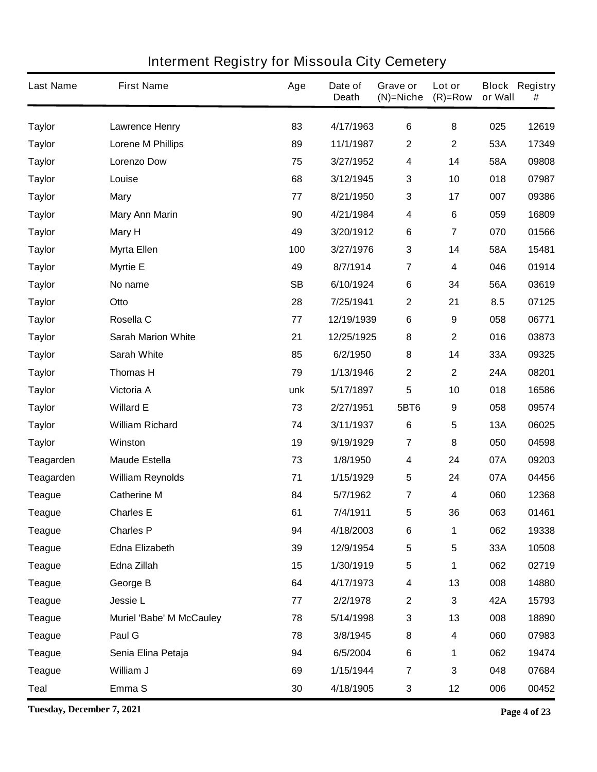| <b>Last Name</b> | <b>First Name</b>               | Age       | Date of<br><b>Death</b> | Grave or<br>$(N)$ =Niche | Lot or<br>$(R)=Row$ | or Wall | <b>Block Registry</b><br># |
|------------------|---------------------------------|-----------|-------------------------|--------------------------|---------------------|---------|----------------------------|
| <b>Taylor</b>    | <b>Lawrence Henry</b>           | 83        | 4/17/1963               | 6                        | 8                   | 025     | 12619                      |
| <b>Taylor</b>    | <b>Lorene M Phillips</b>        | 89        | 11/1/1987               | $\mathbf 2$              | $\mathbf 2$         | 53A     | 17349                      |
| <b>Taylor</b>    | <b>Lorenzo Dow</b>              | 75        | 3/27/1952               | 4                        | 14                  | 58A     | 09808                      |
| <b>Taylor</b>    | Louise                          | 68        | 3/12/1945               | 3                        | 10                  | 018     | 07987                      |
| <b>Taylor</b>    | <b>Mary</b>                     | 77        | 8/21/1950               | 3                        | 17                  | 007     | 09386                      |
| <b>Taylor</b>    | <b>Mary Ann Marin</b>           | 90        | 4/21/1984               | 4                        | 6                   | 059     | 16809                      |
| <b>Taylor</b>    | <b>Mary H</b>                   | 49        | 3/20/1912               | 6                        | 7                   | 070     | 01566                      |
| <b>Taylor</b>    | <b>Myrta Ellen</b>              | 100       | 3/27/1976               | 3                        | 14                  | 58A     | 15481                      |
| <b>Taylor</b>    | <b>Myrtie E</b>                 | 49        | 8/7/1914                | $\overline{\mathbf{7}}$  | 4                   | 046     | 01914                      |
| <b>Taylor</b>    | No name                         | <b>SB</b> | 6/10/1924               | 6                        | 34                  | 56A     | 03619                      |
| <b>Taylor</b>    | Otto                            | 28        | 7/25/1941               | $\mathbf 2$              | 21                  | 8.5     | 07125                      |
| <b>Taylor</b>    | Rosella C                       | 77        | 12/19/1939              | 6                        | 9                   | 058     | 06771                      |
| <b>Taylor</b>    | <b>Sarah Marion White</b>       | 21        | 12/25/1925              | 8                        | $\mathbf 2$         | 016     | 03873                      |
| <b>Taylor</b>    | <b>Sarah White</b>              | 85        | 6/2/1950                | 8                        | 14                  | 33A     | 09325                      |
| <b>Taylor</b>    | <b>Thomas H</b>                 | 79        | 1/13/1946               | $\mathbf 2$              | $\mathbf 2$         | 24A     | 08201                      |
| <b>Taylor</b>    | Victoria A                      | unk       | 5/17/1897               | 5                        | 10                  | 018     | 16586                      |
| <b>Taylor</b>    | <b>Willard E</b>                | 73        | 2/27/1951               | 5BT6                     | 9                   | 058     | 09574                      |
| <b>Taylor</b>    | <b>William Richard</b>          | 74        | 3/11/1937               | $\bf 6$                  | 5                   | 13A     | 06025                      |
| <b>Taylor</b>    | Winston                         | 19        | 9/19/1929               | $\overline{7}$           | 8                   | 050     | 04598                      |
| Teagarden        | <b>Maude Estella</b>            | 73        | 1/8/1950                | 4                        | 24                  | 07A     | 09203                      |
| <b>Teagarden</b> | <b>William Reynolds</b>         | 71        | 1/15/1929               | 5                        | 24                  | 07A     | 04456                      |
| <b>Teague</b>    | <b>Catherine M</b>              | 84        | 5/7/1962                | 7                        | 4                   | 060     | 12368                      |
| <b>Teague</b>    | <b>Charles E</b>                | 61        | 7/4/1911                | 5                        | 36                  | 063     | 01461                      |
| <b>Teague</b>    | <b>Charles P</b>                | 94        | 4/18/2003               | 6                        | 1                   | 062     | 19338                      |
| <b>Teague</b>    | <b>Edna Elizabeth</b>           | 39        | 12/9/1954               | 5                        | 5                   | 33A     | 10508                      |
| <b>Teague</b>    | Edna Zillah                     | 15        | 1/30/1919               | 5                        | 1                   | 062     | 02719                      |
| <b>Teague</b>    | George B                        | 64        | 4/17/1973               | 4                        | 13                  | 008     | 14880                      |
| <b>Teague</b>    | Jessie L                        | 77        | 2/2/1978                | $\mathbf 2$              | $\mathbf 3$         | 42A     | 15793                      |
| <b>Teague</b>    | <b>Muriel 'Babe' M McCauley</b> | 78        | 5/14/1998               | 3                        | 13                  | 008     | 18890                      |
| <b>Teague</b>    | Paul G                          | 78        | 3/8/1945                | 8                        | 4                   | 060     | 07983                      |
| <b>Teague</b>    | Senia Elina Petaja              | 94        | 6/5/2004                | 6                        | 1                   | 062     | 19474                      |
| <b>Teague</b>    | William J                       | 69        | 1/15/1944               | $\overline{7}$           | 3                   | 048     | 07684                      |
| <b>Teal</b>      | Emma <sub>S</sub>               | 30        | 4/18/1905               | 3                        | 12                  | 006     | 00452                      |

**Tuesday, December 7, 2021 Page 4 of 23**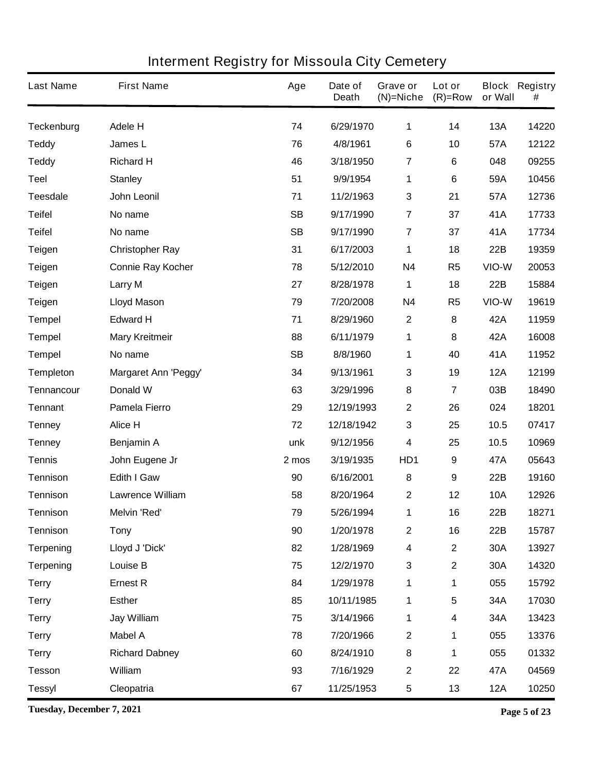| <b>Last Name</b>  | <b>First Name</b>           | Age       | Date of<br><b>Death</b> | Grave or<br>(N)=Niche   | Lot or<br>$(R)=Row$ | or Wall    | <b>Block Registry</b><br># |
|-------------------|-----------------------------|-----------|-------------------------|-------------------------|---------------------|------------|----------------------------|
| <b>Teckenburg</b> | <b>Adele H</b>              | 74        | 6/29/1970               | 1                       | 14                  | <b>13A</b> | 14220                      |
| <b>Teddy</b>      | James L                     | 76        | 4/8/1961                | 6                       | 10                  | 57A        | 12122                      |
| <b>Teddy</b>      | <b>Richard H</b>            | 46        | 3/18/1950               | 7                       | 6                   | 048        | 09255                      |
| <b>Teel</b>       | <b>Stanley</b>              | 51        | 9/9/1954                | 1                       | 6                   | 59A        | 10456                      |
| <b>Teesdale</b>   | <b>John Leonil</b>          | 71        | 11/2/1963               | 3                       | 21                  | 57A        | 12736                      |
| <b>Teifel</b>     | No name                     | <b>SB</b> | 9/17/1990               | $\overline{7}$          | 37                  | 41A        | 17733                      |
| <b>Teifel</b>     | No name                     | <b>SB</b> | 9/17/1990               | $\overline{7}$          | 37                  | 41A        | 17734                      |
| <b>Teigen</b>     | <b>Christopher Ray</b>      | 31        | 6/17/2003               | 1                       | 18                  | 22B        | 19359                      |
| <b>Teigen</b>     | <b>Connie Ray Kocher</b>    | 78        | 5/12/2010               | <b>N4</b>               | R <sub>5</sub>      | VIO-W      | 20053                      |
| <b>Teigen</b>     | <b>Larry M</b>              | 27        | 8/28/1978               | 1                       | 18                  | 22B        | 15884                      |
| <b>Teigen</b>     | <b>Lloyd Mason</b>          | 79        | 7/20/2008               | <b>N4</b>               | R <sub>5</sub>      | VIO-W      | 19619                      |
| <b>Tempel</b>     | <b>Edward H</b>             | 71        | 8/29/1960               | $\boldsymbol{2}$        | 8                   | 42A        | 11959                      |
| <b>Tempel</b>     | <b>Mary Kreitmeir</b>       | 88        | 6/11/1979               | 1                       | 8                   | 42A        | 16008                      |
| <b>Tempel</b>     | No name                     | <b>SB</b> | 8/8/1960                | 1                       | 40                  | 41A        | 11952                      |
| <b>Templeton</b>  | <b>Margaret Ann 'Peggy'</b> | 34        | 9/13/1961               | 3                       | 19                  | <b>12A</b> | 12199                      |
| Tennancour        | Donald W                    | 63        | 3/29/1996               | 8                       | 7                   | 03B        | 18490                      |
| <b>Tennant</b>    | <b>Pamela Fierro</b>        | 29        | 12/19/1993              | 2                       | 26                  | 024        | 18201                      |
| <b>Tenney</b>     | Alice H                     | 72        | 12/18/1942              | 3                       | 25                  | 10.5       | 07417                      |
| <b>Tenney</b>     | Benjamin A                  | unk       | 9/12/1956               | 4                       | 25                  | 10.5       | 10969                      |
| <b>Tennis</b>     | John Eugene Jr              | 2 mos     | 3/19/1935               | HD1                     | $\boldsymbol{9}$    | 47A        | 05643                      |
| <b>Tennison</b>   | <b>Edith I Gaw</b>          | 90        | 6/16/2001               | 8                       | 9                   | 22B        | 19160                      |
| <b>Tennison</b>   | <b>Lawrence William</b>     | 58        | 8/20/1964               | 2                       | 12                  | <b>10A</b> | 12926                      |
| Tennison          | <b>Melvin 'Red'</b>         | 79        | 5/26/1994               | 1                       | 16                  | 22B        | 18271                      |
| <b>Tennison</b>   | <b>Tony</b>                 | 90        | 1/20/1978               | $\mathbf 2$             | 16                  | 22B        | 15787                      |
| <b>Terpening</b>  | Lloyd J 'Dick'              | 82        | 1/28/1969               | $\overline{\mathbf{4}}$ | $\mathbf 2$         | 30A        | 13927                      |
| <b>Terpening</b>  | Louise B                    | 75        | 12/2/1970               | 3                       | $\mathbf 2$         | 30A        | 14320                      |
| <b>Terry</b>      | <b>Ernest R</b>             | 84        | 1/29/1978               | 1                       | 1                   | 055        | 15792                      |
| <b>Terry</b>      | <b>Esther</b>               | 85        | 10/11/1985              | 1                       | 5                   | 34A        | 17030                      |
| <b>Terry</b>      | Jay William                 | 75        | 3/14/1966               | 1                       | 4                   | 34A        | 13423                      |
| <b>Terry</b>      | <b>Mabel A</b>              | 78        | 7/20/1966               | $\mathbf 2$             | 1                   | 055        | 13376                      |
| <b>Terry</b>      | <b>Richard Dabney</b>       | 60        | 8/24/1910               | 8                       | 1                   | 055        | 01332                      |
| <b>Tesson</b>     | William                     | 93        | 7/16/1929               | $\mathbf 2$             | 22                  | 47A        | 04569                      |
| <b>Tessyl</b>     | Cleopatria                  | 67        | 11/25/1953              | 5                       | 13                  | <b>12A</b> | 10250                      |

**Tuesday, December 7, 2021 Page 5 of 23**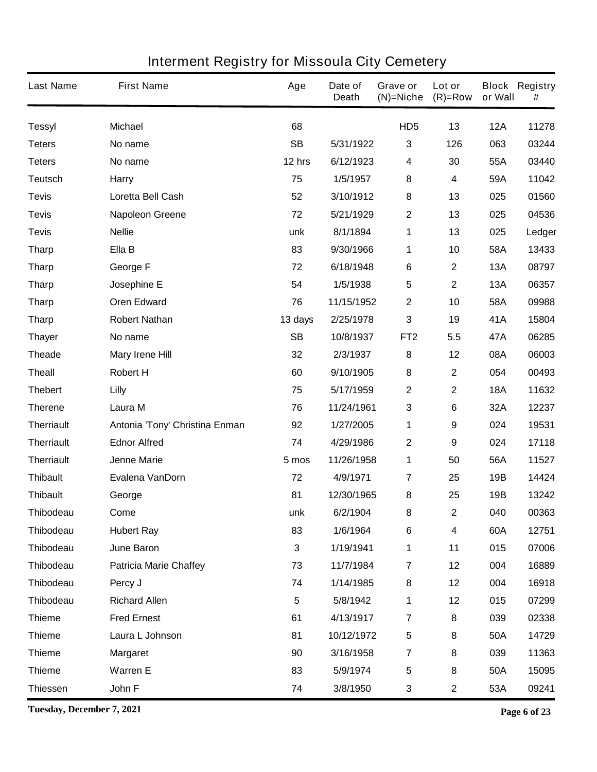| <b>Last Name</b>  | <b>First Name</b>              | Age       | Date of<br><b>Death</b> | Grave or<br>$(N)$ =Niche | Lot or<br>$(R)=Row$ | or Wall    | <b>Block Registry</b><br># |
|-------------------|--------------------------------|-----------|-------------------------|--------------------------|---------------------|------------|----------------------------|
| <b>Tessyl</b>     | <b>Michael</b>                 | 68        |                         | HD <sub>5</sub>          | 13                  | <b>12A</b> | 11278                      |
| <b>Teters</b>     | No name                        | <b>SB</b> | 5/31/1922               | 3                        | 126                 | 063        | 03244                      |
| <b>Teters</b>     | No name                        | 12 hrs    | 6/12/1923               | 4                        | 30                  | 55A        | 03440                      |
| <b>Teutsch</b>    | <b>Harry</b>                   | 75        | 1/5/1957                | 8                        | 4                   | 59A        | 11042                      |
| <b>Tevis</b>      | Loretta Bell Cash              | 52        | 3/10/1912               | 8                        | 13                  | 025        | 01560                      |
| <b>Tevis</b>      | <b>Napoleon Greene</b>         | 72        | 5/21/1929               | $\mathbf 2$              | 13                  | 025        | 04536                      |
| <b>Tevis</b>      | <b>Nellie</b>                  | unk       | 8/1/1894                | 1                        | 13                  | 025        | Ledger                     |
| <b>Tharp</b>      | Ella B                         | 83        | 9/30/1966               | 1                        | 10                  | 58A        | 13433                      |
| <b>Tharp</b>      | George F                       | 72        | 6/18/1948               | 6                        | $\mathbf 2$         | <b>13A</b> | 08797                      |
| <b>Tharp</b>      | Josephine E                    | 54        | 1/5/1938                | 5                        | $\mathbf 2$         | <b>13A</b> | 06357                      |
| <b>Tharp</b>      | <b>Oren Edward</b>             | 76        | 11/15/1952              | $\mathbf 2$              | 10                  | 58A        | 09988                      |
| <b>Tharp</b>      | <b>Robert Nathan</b>           | 13 days   | 2/25/1978               | 3                        | 19                  | 41A        | 15804                      |
| <b>Thayer</b>     | No name                        | <b>SB</b> | 10/8/1937               | FT <sub>2</sub>          | 5.5                 | 47A        | 06285                      |
| <b>Theade</b>     | <b>Mary Irene Hill</b>         | 32        | 2/3/1937                | 8                        | 12                  | 08A        | 06003                      |
| <b>Theall</b>     | <b>Robert H</b>                | 60        | 9/10/1905               | 8                        | $\mathbf 2$         | 054        | 00493                      |
| <b>Thebert</b>    | Lilly                          | 75        | 5/17/1959               | $\mathbf 2$              | $\mathbf 2$         | <b>18A</b> | 11632                      |
| <b>Therene</b>    | Laura M                        | 76        | 11/24/1961              | $\mathbf 3$              | 6                   | 32A        | 12237                      |
| <b>Therriault</b> | Antonia 'Tony' Christina Enman | 92        | 1/27/2005               | 1                        | 9                   | 024        | 19531                      |
| <b>Therriault</b> | <b>Ednor Alfred</b>            | 74        | 4/29/1986               | 2                        | 9                   | 024        | 17118                      |
| <b>Therriault</b> | <b>Jenne Marie</b>             | 5 mos     | 11/26/1958              | 1                        | 50                  | 56A        | 11527                      |
| <b>Thibault</b>   | Evalena VanDorn                | 72        | 4/9/1971                | $\overline{\mathbf{7}}$  | 25                  | 19B        | 14424                      |
| <b>Thibault</b>   | George                         | 81        | 12/30/1965              | 8                        | 25                  | 19B        | 13242                      |
| <b>Thibodeau</b>  | Come                           | unk       | 6/2/1904                | 8                        | $\mathbf 2$         | 040        | 00363                      |
| Thibodeau         | <b>Hubert Ray</b>              | 83        | 1/6/1964                | $\bf 6$                  | 4                   | 60A        | 12751                      |
| <b>Thibodeau</b>  | <b>June Baron</b>              | 3         | 1/19/1941               | 1                        | 11                  | 015        | 07006                      |
| <b>Thibodeau</b>  | <b>Patricia Marie Chaffey</b>  | 73        | 11/7/1984               | $\overline{7}$           | 12                  | 004        | 16889                      |
| <b>Thibodeau</b>  | Percy J                        | 74        | 1/14/1985               | 8                        | 12                  | 004        | 16918                      |
| <b>Thibodeau</b>  | <b>Richard Allen</b>           | 5         | 5/8/1942                | 1                        | 12                  | 015        | 07299                      |
| <b>Thieme</b>     | <b>Fred Ernest</b>             | 61        | 4/13/1917               | $\overline{\mathbf{7}}$  | 8                   | 039        | 02338                      |
| <b>Thieme</b>     | Laura L Johnson                | 81        | 10/12/1972              | 5                        | 8                   | 50A        | 14729                      |
| <b>Thieme</b>     | <b>Margaret</b>                | 90        | 3/16/1958               | $\overline{\mathbf{7}}$  | 8                   | 039        | 11363                      |
| <b>Thieme</b>     | <b>Warren E</b>                | 83        | 5/9/1974                | 5                        | 8                   | 50A        | 15095                      |
| <b>Thiessen</b>   | John F                         | 74        | 3/8/1950                | 3                        | $\mathbf 2$         | 53A        | 09241                      |

**Tuesday, December 7, 2021 Page 6 of 23**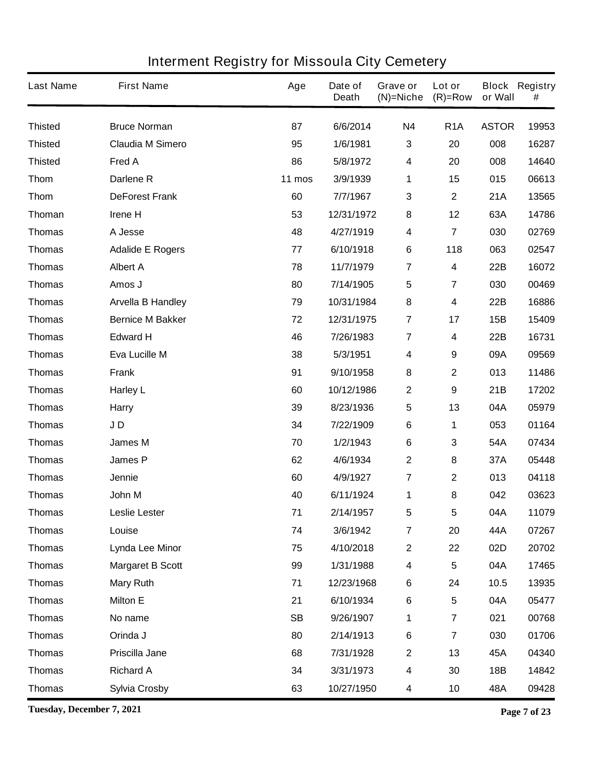| <b>Last Name</b> | <b>First Name</b>        | Age       | Date of<br><b>Death</b> | Grave or<br>$(N)$ =Niche | Lot or<br>$(R)=Row$     | or Wall      | <b>Block Registry</b><br># |
|------------------|--------------------------|-----------|-------------------------|--------------------------|-------------------------|--------------|----------------------------|
| <b>Thisted</b>   | <b>Bruce Norman</b>      | 87        | 6/6/2014                | <b>N4</b>                | R <sub>1</sub> A        | <b>ASTOR</b> | 19953                      |
| <b>Thisted</b>   | <b>Claudia M Simero</b>  | 95        | 1/6/1981                | 3                        | 20                      | 008          | 16287                      |
| <b>Thisted</b>   | Fred A                   | 86        | 5/8/1972                | 4                        | 20                      | 008          | 14640                      |
| <b>Thom</b>      | Darlene <sub>R</sub>     | 11 mos    | 3/9/1939                | 1                        | 15                      | 015          | 06613                      |
| <b>Thom</b>      | <b>DeForest Frank</b>    | 60        | 7/7/1967                | 3                        | $\boldsymbol{2}$        | 21A          | 13565                      |
| Thoman           | Irene H                  | 53        | 12/31/1972              | 8                        | 12                      | 63A          | 14786                      |
| <b>Thomas</b>    | A Jesse                  | 48        | 4/27/1919               | 4                        | $\overline{7}$          | 030          | 02769                      |
| <b>Thomas</b>    | <b>Adalide E Rogers</b>  | 77        | 6/10/1918               | 6                        | 118                     | 063          | 02547                      |
| <b>Thomas</b>    | <b>Albert A</b>          | 78        | 11/7/1979               | $\overline{7}$           | 4                       | 22B          | 16072                      |
| <b>Thomas</b>    | Amos J                   | 80        | 7/14/1905               | 5                        | 7                       | 030          | 00469                      |
| <b>Thomas</b>    | <b>Arvella B Handley</b> | 79        | 10/31/1984              | 8                        | 4                       | 22B          | 16886                      |
| <b>Thomas</b>    | <b>Bernice M Bakker</b>  | 72        | 12/31/1975              | $\overline{7}$           | 17                      | 15B          | 15409                      |
| <b>Thomas</b>    | <b>Edward H</b>          | 46        | 7/26/1983               | $\overline{7}$           | 4                       | 22B          | 16731                      |
| <b>Thomas</b>    | Eva Lucille M            | 38        | 5/3/1951                | 4                        | 9                       | 09A          | 09569                      |
| <b>Thomas</b>    | <b>Frank</b>             | 91        | 9/10/1958               | 8                        | $\mathbf 2$             | 013          | 11486                      |
| <b>Thomas</b>    | <b>Harley L</b>          | 60        | 10/12/1986              | $\mathbf 2$              | 9                       | 21B          | 17202                      |
| <b>Thomas</b>    | <b>Harry</b>             | 39        | 8/23/1936               | 5                        | 13                      | 04A          | 05979                      |
| <b>Thomas</b>    | JD                       | 34        | 7/22/1909               | 6                        | 1                       | 053          | 01164                      |
| <b>Thomas</b>    | <b>James M</b>           | 70        | 1/2/1943                | 6                        | 3                       | 54A          | 07434                      |
| <b>Thomas</b>    | <b>James P</b>           | 62        | 4/6/1934                | $\mathbf 2$              | 8                       | 37A          | 05448                      |
| <b>Thomas</b>    | Jennie                   | 60        | 4/9/1927                | 7                        | $\mathbf 2$             | 013          | 04118                      |
| <b>Thomas</b>    | John M                   | 40        | 6/11/1924               | 1                        | 8                       | 042          | 03623                      |
| Thomas           | Leslie Lester            | 71        | 2/14/1957               | 5                        | 5                       | 04A          | 11079                      |
| <b>Thomas</b>    | Louise                   | 74        | 3/6/1942                | $\overline{\mathbf{7}}$  | 20                      | 44A          | 07267                      |
| <b>Thomas</b>    | <b>Lynda Lee Minor</b>   | 75        | 4/10/2018               | $\mathbf 2$              | 22                      | 02D          | 20702                      |
| <b>Thomas</b>    | <b>Margaret B Scott</b>  | 99        | 1/31/1988               | 4                        | $\overline{\mathbf{5}}$ | 04A          | 17465                      |
| <b>Thomas</b>    | <b>Mary Ruth</b>         | 71        | 12/23/1968              | 6                        | 24                      | 10.5         | 13935                      |
| <b>Thomas</b>    | <b>Milton E</b>          | 21        | 6/10/1934               | 6                        | $\overline{\mathbf{5}}$ | 04A          | 05477                      |
| <b>Thomas</b>    | No name                  | <b>SB</b> | 9/26/1907               | 1                        | $\overline{\mathbf{7}}$ | 021          | 00768                      |
| <b>Thomas</b>    | Orinda J                 | 80        | 2/14/1913               | 6                        | $\overline{\mathbf{7}}$ | 030          | 01706                      |
| <b>Thomas</b>    | Priscilla Jane           | 68        | 7/31/1928               | $\mathbf 2$              | 13                      | 45A          | 04340                      |
| <b>Thomas</b>    | <b>Richard A</b>         | 34        | 3/31/1973               | 4                        | 30                      | 18B          | 14842                      |
| <b>Thomas</b>    | <b>Sylvia Crosby</b>     | 63        | 10/27/1950              | 4                        | 10                      | 48A          | 09428                      |

**Tuesday, December 7, 2021 Page 7 of 23**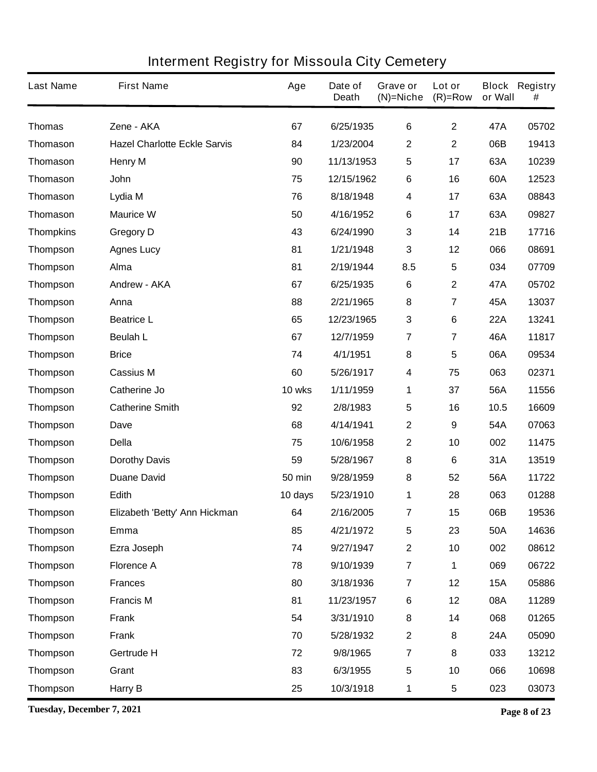| <b>Last Name</b> | <b>First Name</b>                   | Age           | Date of<br><b>Death</b> | Grave or<br>$(N)$ =Niche | Lot or<br>$(R)=Row$     | or Wall    | <b>Block Registry</b><br># |
|------------------|-------------------------------------|---------------|-------------------------|--------------------------|-------------------------|------------|----------------------------|
| <b>Thomas</b>    | Zene - AKA                          | 67            | 6/25/1935               | 6                        | $\mathbf 2$             | 47A        | 05702                      |
| <b>Thomason</b>  | <b>Hazel Charlotte Eckle Sarvis</b> | 84            | 1/23/2004               | 2                        | $\mathbf 2$             | 06B        | 19413                      |
| <b>Thomason</b>  | <b>Henry M</b>                      | 90            | 11/13/1953              | 5                        | 17                      | 63A        | 10239                      |
| <b>Thomason</b>  | John                                | 75            | 12/15/1962              | 6                        | 16                      | 60A        | 12523                      |
| <b>Thomason</b>  | Lydia M                             | 76            | 8/18/1948               | 4                        | 17                      | 63A        | 08843                      |
| <b>Thomason</b>  | <b>Maurice W</b>                    | 50            | 4/16/1952               | 6                        | 17                      | 63A        | 09827                      |
| <b>Thompkins</b> | <b>Gregory D</b>                    | 43            | 6/24/1990               | 3                        | 14                      | 21B        | 17716                      |
| <b>Thompson</b>  | <b>Agnes Lucy</b>                   | 81            | 1/21/1948               | 3                        | 12                      | 066        | 08691                      |
| <b>Thompson</b>  | Alma                                | 81            | 2/19/1944               | 8.5                      | 5                       | 034        | 07709                      |
| <b>Thompson</b>  | <b>Andrew - AKA</b>                 | 67            | 6/25/1935               | 6                        | $\mathbf 2$             | 47A        | 05702                      |
| <b>Thompson</b>  | Anna                                | 88            | 2/21/1965               | 8                        | $\overline{\mathbf{7}}$ | 45A        | 13037                      |
| <b>Thompson</b>  | <b>Beatrice L</b>                   | 65            | 12/23/1965              | 3                        | 6                       | <b>22A</b> | 13241                      |
| <b>Thompson</b>  | <b>Beulah L</b>                     | 67            | 12/7/1959               | $\overline{\mathbf{r}}$  | $\overline{7}$          | 46A        | 11817                      |
| <b>Thompson</b>  | <b>Brice</b>                        | 74            | 4/1/1951                | 8                        | 5                       | 06A        | 09534                      |
| <b>Thompson</b>  | <b>Cassius M</b>                    | 60            | 5/26/1917               | 4                        | 75                      | 063        | 02371                      |
| <b>Thompson</b>  | <b>Catherine Jo</b>                 | 10 wks        | 1/11/1959               | 1                        | 37                      | 56A        | 11556                      |
| <b>Thompson</b>  | <b>Catherine Smith</b>              | 92            | 2/8/1983                | 5                        | 16                      | 10.5       | 16609                      |
| <b>Thompson</b>  | Dave                                | 68            | 4/14/1941               | $\mathbf 2$              | 9                       | 54A        | 07063                      |
| <b>Thompson</b>  | <b>Della</b>                        | 75            | 10/6/1958               | 2                        | 10                      | 002        | 11475                      |
| <b>Thompson</b>  | <b>Dorothy Davis</b>                | 59            | 5/28/1967               | 8                        | 6                       | 31A        | 13519                      |
| <b>Thompson</b>  | <b>Duane David</b>                  | <b>50 min</b> | 9/28/1959               | 8                        | 52                      | 56A        | 11722                      |
| <b>Thompson</b>  | Edith                               | 10 days       | 5/23/1910               | 1                        | 28                      | 063        | 01288                      |
| Thompson         | Elizabeth 'Betty' Ann Hickman       | 64            | 2/16/2005               | 7                        | 15                      | 06B        | 19536                      |
| <b>Thompson</b>  | Emma                                | 85            | 4/21/1972               | 5                        | 23                      | 50A        | 14636                      |
| <b>Thompson</b>  | Ezra Joseph                         | 74            | 9/27/1947               | $\mathbf 2$              | 10                      | 002        | 08612                      |
| <b>Thompson</b>  | <b>Florence A</b>                   | 78            | 9/10/1939               | $\overline{7}$           | 1                       | 069        | 06722                      |
| <b>Thompson</b>  | <b>Frances</b>                      | 80            | 3/18/1936               | $\overline{7}$           | 12                      | <b>15A</b> | 05886                      |
| <b>Thompson</b>  | <b>Francis M</b>                    | 81            | 11/23/1957              | 6                        | 12                      | 08A        | 11289                      |
| <b>Thompson</b>  | <b>Frank</b>                        | 54            | 3/31/1910               | 8                        | 14                      | 068        | 01265                      |
| <b>Thompson</b>  | <b>Frank</b>                        | 70            | 5/28/1932               | $\mathbf 2$              | 8                       | 24A        | 05090                      |
| <b>Thompson</b>  | Gertrude H                          | 72            | 9/8/1965                | $\overline{7}$           | 8                       | 033        | 13212                      |
| <b>Thompson</b>  | Grant                               | 83            | 6/3/1955                | $5\phantom{.0}$          | 10                      | 066        | 10698                      |
| <b>Thompson</b>  | Harry B                             | 25            | 10/3/1918               | 1                        | 5                       | 023        | 03073                      |

**Tuesday, December 7, 2021 Page 8 of 23**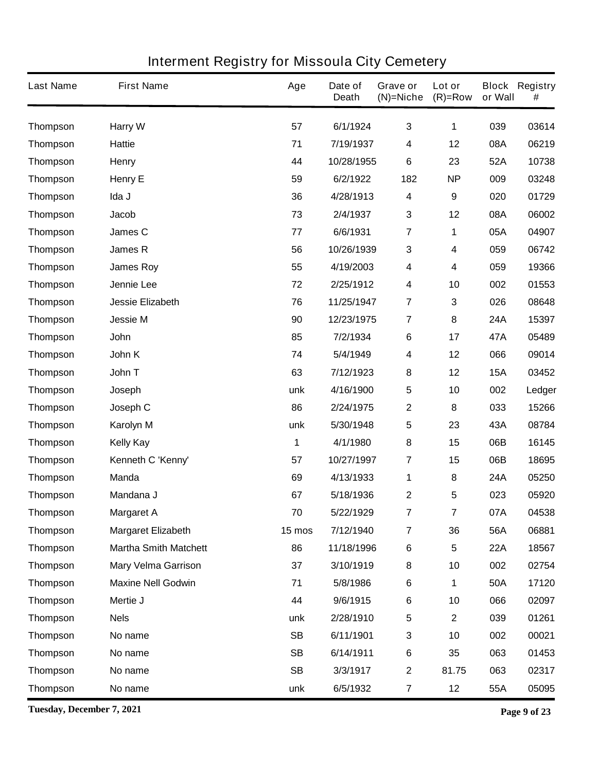| <b>Last Name</b> | <b>First Name</b>            | Age       | Date of<br><b>Death</b> | <b>Grave or</b><br>$(N)$ =Niche | Lot or<br>$(R)=Row$     | or Wall    | <b>Block Registry</b><br># |
|------------------|------------------------------|-----------|-------------------------|---------------------------------|-------------------------|------------|----------------------------|
| <b>Thompson</b>  | <b>Harry W</b>               | 57        | 6/1/1924                | $\mathbf{3}$                    | 1                       | 039        | 03614                      |
| <b>Thompson</b>  | <b>Hattie</b>                | 71        | 7/19/1937               | 4                               | 12                      | 08A        | 06219                      |
| <b>Thompson</b>  | <b>Henry</b>                 | 44        | 10/28/1955              | 6                               | 23                      | 52A        | 10738                      |
| <b>Thompson</b>  | <b>Henry E</b>               | 59        | 6/2/1922                | 182                             | <b>NP</b>               | 009        | 03248                      |
| <b>Thompson</b>  | Ida J                        | 36        | 4/28/1913               | 4                               | $\boldsymbol{9}$        | 020        | 01729                      |
| <b>Thompson</b>  | <b>Jacob</b>                 | 73        | 2/4/1937                | 3                               | 12                      | 08A        | 06002                      |
| <b>Thompson</b>  | James C                      | 77        | 6/6/1931                | $\overline{7}$                  | 1                       | 05A        | 04907                      |
| <b>Thompson</b>  | <b>James R</b>               | 56        | 10/26/1939              | 3                               | 4                       | 059        | 06742                      |
| <b>Thompson</b>  | <b>James Roy</b>             | 55        | 4/19/2003               | 4                               | 4                       | 059        | 19366                      |
| <b>Thompson</b>  | Jennie Lee                   | 72        | 2/25/1912               | 4                               | 10                      | 002        | 01553                      |
| <b>Thompson</b>  | <b>Jessie Elizabeth</b>      | 76        | 11/25/1947              | $\overline{7}$                  | 3                       | 026        | 08648                      |
| <b>Thompson</b>  | <b>Jessie M</b>              | 90        | 12/23/1975              | $\overline{7}$                  | 8                       | 24A        | 15397                      |
| <b>Thompson</b>  | John                         | 85        | 7/2/1934                | 6                               | 17                      | 47A        | 05489                      |
| <b>Thompson</b>  | John K                       | 74        | 5/4/1949                | 4                               | 12                      | 066        | 09014                      |
| <b>Thompson</b>  | John T                       | 63        | 7/12/1923               | 8                               | 12                      | <b>15A</b> | 03452                      |
| <b>Thompson</b>  | Joseph                       | unk       | 4/16/1900               | 5                               | 10                      | 002        | Ledger                     |
| <b>Thompson</b>  | Joseph C                     | 86        | 2/24/1975               | 2                               | 8                       | 033        | 15266                      |
| <b>Thompson</b>  | Karolyn M                    | unk       | 5/30/1948               | 5                               | 23                      | 43A        | 08784                      |
| <b>Thompson</b>  | <b>Kelly Kay</b>             | 1         | 4/1/1980                | 8                               | 15                      | 06B        | 16145                      |
| <b>Thompson</b>  | Kenneth C 'Kenny'            | 57        | 10/27/1997              | 7                               | 15                      | 06B        | 18695                      |
| <b>Thompson</b>  | <b>Manda</b>                 | 69        | 4/13/1933               | 1                               | 8                       | 24A        | 05250                      |
| <b>Thompson</b>  | Mandana J                    | 67        | 5/18/1936               | 2                               | 5                       | 023        | 05920                      |
| <b>Thompson</b>  | <b>Margaret A</b>            | 70        | 5/22/1929               | 7                               | $\overline{\mathbf{7}}$ | 07A        | 04538                      |
| <b>Thompson</b>  | <b>Margaret Elizabeth</b>    | 15 mos    | 7/12/1940               | $\overline{7}$                  | 36                      | 56A        | 06881                      |
| <b>Thompson</b>  | <b>Martha Smith Matchett</b> | 86        | 11/18/1996              | $\bf 6$                         | 5                       | <b>22A</b> | 18567                      |
| <b>Thompson</b>  | <b>Mary Velma Garrison</b>   | 37        | 3/10/1919               | 8                               | 10                      | 002        | 02754                      |
| <b>Thompson</b>  | <b>Maxine Nell Godwin</b>    | 71        | 5/8/1986                | $\bf 6$                         | 1                       | 50A        | 17120                      |
| <b>Thompson</b>  | Mertie J                     | 44        | 9/6/1915                | $\bf 6$                         | 10                      | 066        | 02097                      |
| <b>Thompson</b>  | <b>Nels</b>                  | unk       | 2/28/1910               | $\overline{\mathbf{5}}$         | $\mathbf 2$             | 039        | 01261                      |
| <b>Thompson</b>  | No name                      | <b>SB</b> | 6/11/1901               | 3                               | 10                      | 002        | 00021                      |
| <b>Thompson</b>  | No name                      | <b>SB</b> | 6/14/1911               | $\bf 6$                         | 35                      | 063        | 01453                      |
| <b>Thompson</b>  | No name                      | <b>SB</b> | 3/3/1917                | $\mathbf 2$                     | 81.75                   | 063        | 02317                      |
| <b>Thompson</b>  | No name                      | unk       | 6/5/1932                | 7                               | 12                      | 55A        | 05095                      |

**Tuesday, December 7, 2021 Page 9 of 23**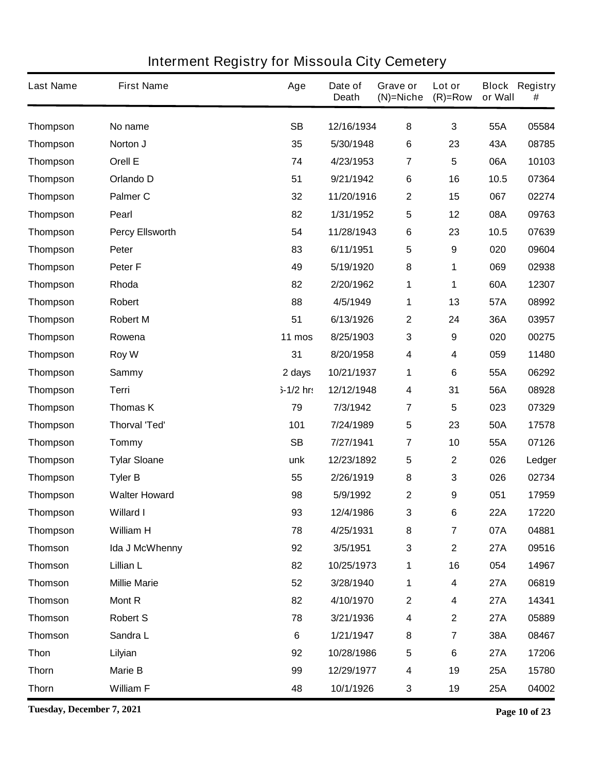| <b>Last Name</b> | <b>First Name</b>      | Age         | Date of<br><b>Death</b> | Grave or<br>(N)=Niche   | Lot or<br>$(R)=Row$     | or Wall    | <b>Block Registry</b><br># |
|------------------|------------------------|-------------|-------------------------|-------------------------|-------------------------|------------|----------------------------|
| <b>Thompson</b>  | No name                | <b>SB</b>   | 12/16/1934              | 8                       | $\mathbf{3}$            | 55A        | 05584                      |
| <b>Thompson</b>  | Norton J               | 35          | 5/30/1948               | 6                       | 23                      | 43A        | 08785                      |
| <b>Thompson</b>  | Orell E                | 74          | 4/23/1953               | 7                       | 5                       | 06A        | 10103                      |
| <b>Thompson</b>  | Orlando D              | 51          | 9/21/1942               | 6                       | 16                      | 10.5       | 07364                      |
| <b>Thompson</b>  | <b>Palmer C</b>        | 32          | 11/20/1916              | 2                       | 15                      | 067        | 02274                      |
| <b>Thompson</b>  | <b>Pearl</b>           | 82          | 1/31/1952               | 5                       | 12                      | 08A        | 09763                      |
| <b>Thompson</b>  | <b>Percy Ellsworth</b> | 54          | 11/28/1943              | $\bf 6$                 | 23                      | 10.5       | 07639                      |
| <b>Thompson</b>  | Peter                  | 83          | 6/11/1951               | 5                       | 9                       | 020        | 09604                      |
| <b>Thompson</b>  | <b>Peter F</b>         | 49          | 5/19/1920               | 8                       | 1                       | 069        | 02938                      |
| <b>Thompson</b>  | Rhoda                  | 82          | 2/20/1962               | 1                       | 1                       | 60A        | 12307                      |
| <b>Thompson</b>  | <b>Robert</b>          | 88          | 4/5/1949                | 1                       | 13                      | 57A        | 08992                      |
| <b>Thompson</b>  | <b>Robert M</b>        | 51          | 6/13/1926               | 2                       | 24                      | 36A        | 03957                      |
| <b>Thompson</b>  | Rowena                 | 11 mos      | 8/25/1903               | $\mathbf 3$             | 9                       | 020        | 00275                      |
| <b>Thompson</b>  | <b>Roy W</b>           | 31          | 8/20/1958               | 4                       | $\overline{\mathbf{4}}$ | 059        | 11480                      |
| <b>Thompson</b>  | <b>Sammy</b>           | 2 days      | 10/21/1937              | 1                       | 6                       | 55A        | 06292                      |
| <b>Thompson</b>  | Terri                  | $5-1/2$ hr: | 12/12/1948              | 4                       | 31                      | 56A        | 08928                      |
| <b>Thompson</b>  | <b>Thomas K</b>        | 79          | 7/3/1942                | 7                       | 5                       | 023        | 07329                      |
| <b>Thompson</b>  | <b>Thorval 'Ted'</b>   | 101         | 7/24/1989               | 5                       | 23                      | 50A        | 17578                      |
| <b>Thompson</b>  | <b>Tommy</b>           | <b>SB</b>   | 7/27/1941               | 7                       | 10                      | 55A        | 07126                      |
| <b>Thompson</b>  | <b>Tylar Sloane</b>    | unk         | 12/23/1892              | 5                       | $\boldsymbol{2}$        | 026        | Ledger                     |
| <b>Thompson</b>  | <b>Tyler B</b>         | 55          | 2/26/1919               | 8                       | 3                       | 026        | 02734                      |
| <b>Thompson</b>  | <b>Walter Howard</b>   | 98          | 5/9/1992                | 2                       | 9                       | 051        | 17959                      |
| <b>Thompson</b>  | <b>Willard I</b>       | 93          | 12/4/1986               | 3                       | $6\phantom{a}$          | <b>22A</b> | 17220                      |
| <b>Thompson</b>  | <b>William H</b>       | 78          | 4/25/1931               | 8                       | $\overline{\mathbf{7}}$ | 07A        | 04881                      |
| <b>Thomson</b>   | Ida J McWhenny         | 92          | 3/5/1951                | $\mathbf 3$             | $\mathbf 2$             | <b>27A</b> | 09516                      |
| <b>Thomson</b>   | Lillian L              | 82          | 10/25/1973              | 1                       | 16                      | 054        | 14967                      |
| <b>Thomson</b>   | <b>Millie Marie</b>    | 52          | 3/28/1940               | 1                       | $\overline{\mathbf{4}}$ | <b>27A</b> | 06819                      |
| <b>Thomson</b>   | <b>Mont R</b>          | 82          | 4/10/1970               | $\mathbf 2$             | 4                       | 27A        | 14341                      |
| <b>Thomson</b>   | <b>Robert S</b>        | 78          | 3/21/1936               | 4                       | $\boldsymbol{2}$        | <b>27A</b> | 05889                      |
| <b>Thomson</b>   | Sandra L               | $\bf 6$     | 1/21/1947               | 8                       | $\overline{\mathbf{7}}$ | 38A        | 08467                      |
| <b>Thon</b>      | Lilyian                | 92          | 10/28/1986              | $\overline{\mathbf{5}}$ | 6                       | <b>27A</b> | 17206                      |
| <b>Thorn</b>     | <b>Marie B</b>         | 99          | 12/29/1977              | 4                       | 19                      | 25A        | 15780                      |
| <b>Thorn</b>     | <b>William F</b>       | 48          | 10/1/1926               | 3                       | 19                      | 25A        | 04002                      |

**Tuesday, December 7, 2021 Page 10 of 23**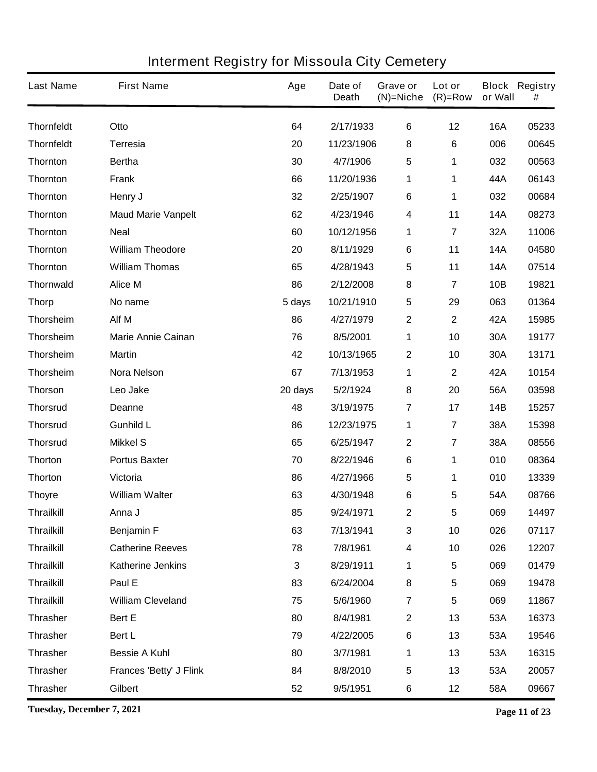| <b>Last Name</b>  | <b>First Name</b>              | Age     | Date of<br><b>Death</b> | Grave or<br>$(N)$ =Niche | Lot or<br>$(R)=Row$     | or Wall    | <b>Block Registry</b><br># |
|-------------------|--------------------------------|---------|-------------------------|--------------------------|-------------------------|------------|----------------------------|
| <b>Thornfeldt</b> | Otto                           | 64      | 2/17/1933               | $\bf 6$                  | 12                      | <b>16A</b> | 05233                      |
| <b>Thornfeldt</b> | <b>Terresia</b>                | 20      | 11/23/1906              | 8                        | 6                       | 006        | 00645                      |
| <b>Thornton</b>   | <b>Bertha</b>                  | 30      | 4/7/1906                | 5                        | 1                       | 032        | 00563                      |
| <b>Thornton</b>   | <b>Frank</b>                   | 66      | 11/20/1936              | 1                        | 1                       | 44A        | 06143                      |
| <b>Thornton</b>   | Henry J                        | 32      | 2/25/1907               | 6                        | 1                       | 032        | 00684                      |
| <b>Thornton</b>   | <b>Maud Marie Vanpelt</b>      | 62      | 4/23/1946               | 4                        | 11                      | <b>14A</b> | 08273                      |
| <b>Thornton</b>   | <b>Neal</b>                    | 60      | 10/12/1956              | 1                        | 7                       | 32A        | 11006                      |
| <b>Thornton</b>   | <b>William Theodore</b>        | 20      | 8/11/1929               | 6                        | 11                      | <b>14A</b> | 04580                      |
| <b>Thornton</b>   | <b>William Thomas</b>          | 65      | 4/28/1943               | 5                        | 11                      | <b>14A</b> | 07514                      |
| <b>Thornwald</b>  | <b>Alice M</b>                 | 86      | 2/12/2008               | 8                        | 7                       | <b>10B</b> | 19821                      |
| <b>Thorp</b>      | No name                        | 5 days  | 10/21/1910              | 5                        | 29                      | 063        | 01364                      |
| Thorsheim         | Alf M                          | 86      | 4/27/1979               | 2                        | $\mathbf 2$             | 42A        | 15985                      |
| Thorsheim         | <b>Marie Annie Cainan</b>      | 76      | 8/5/2001                | 1                        | 10                      | 30A        | 19177                      |
| Thorsheim         | <b>Martin</b>                  | 42      | 10/13/1965              | 2                        | 10                      | 30A        | 13171                      |
| <b>Thorsheim</b>  | <b>Nora Nelson</b>             | 67      | 7/13/1953               | 1                        | $\boldsymbol{2}$        | 42A        | 10154                      |
| <b>Thorson</b>    | Leo Jake                       | 20 days | 5/2/1924                | 8                        | 20                      | 56A        | 03598                      |
| <b>Thorsrud</b>   | <b>Deanne</b>                  | 48      | 3/19/1975               | 7                        | 17                      | 14B        | 15257                      |
| <b>Thorsrud</b>   | <b>Gunhild L</b>               | 86      | 12/23/1975              | 1                        | $\overline{\mathbf{7}}$ | 38A        | 15398                      |
| <b>Thorsrud</b>   | <b>Mikkel S</b>                | 65      | 6/25/1947               | 2                        | $\overline{\mathbf{7}}$ | 38A        | 08556                      |
| <b>Thorton</b>    | <b>Portus Baxter</b>           | 70      | 8/22/1946               | 6                        | 1                       | 010        | 08364                      |
| <b>Thorton</b>    | Victoria                       | 86      | 4/27/1966               | 5                        | 1                       | 010        | 13339                      |
| <b>Thoyre</b>     | <b>William Walter</b>          | 63      | 4/30/1948               | 6                        | 5                       | 54A        | 08766                      |
| Thrailkill        | Anna J                         | 85      | 9/24/1971               | 2                        | 5                       | 069        | 14497                      |
| <b>Thrailkill</b> | Benjamin F                     | 63      | 7/13/1941               | $\mathbf 3$              | 10                      | 026        | 07117                      |
| <b>Thrailkill</b> | <b>Catherine Reeves</b>        | 78      | 7/8/1961                | 4                        | 10                      | 026        | 12207                      |
| <b>Thrailkill</b> | <b>Katherine Jenkins</b>       | 3       | 8/29/1911               | 1                        | 5                       | 069        | 01479                      |
| <b>Thrailkill</b> | Paul E                         | 83      | 6/24/2004               | 8                        | 5                       | 069        | 19478                      |
| <b>Thrailkill</b> | <b>William Cleveland</b>       | 75      | 5/6/1960                | $\overline{\mathbf{7}}$  | $\overline{\mathbf{5}}$ | 069        | 11867                      |
| <b>Thrasher</b>   | Bert E                         | 80      | 8/4/1981                | $\mathbf 2$              | 13                      | 53A        | 16373                      |
| <b>Thrasher</b>   | Bert L                         | 79      | 4/22/2005               | 6                        | 13                      | 53A        | 19546                      |
| <b>Thrasher</b>   | <b>Bessie A Kuhl</b>           | 80      | 3/7/1981                | 1                        | 13                      | 53A        | 16315                      |
| <b>Thrasher</b>   | <b>Frances 'Betty' J Flink</b> | 84      | 8/8/2010                | 5                        | 13                      | 53A        | 20057                      |
| <b>Thrasher</b>   | Gilbert                        | 52      | 9/5/1951                | 6                        | 12                      | 58A        | 09667                      |

**Tuesday, December 7, 2021 Page 11 of 23**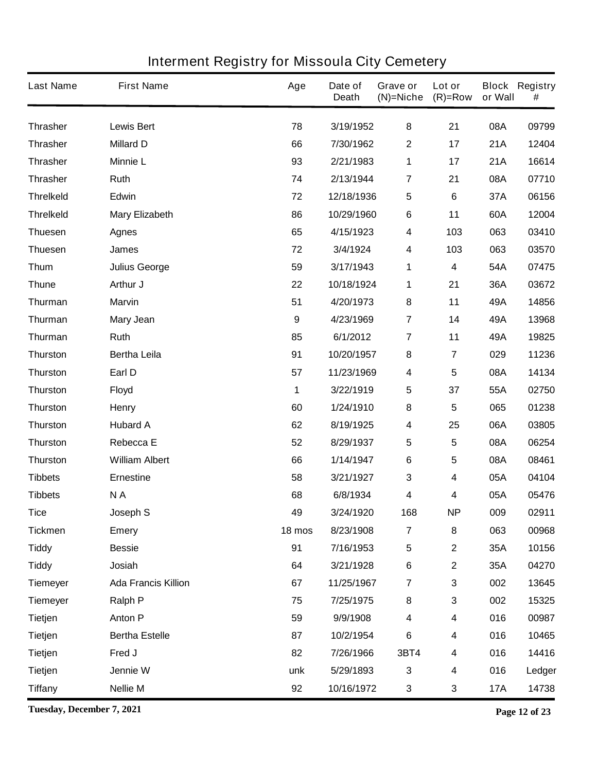| <b>Last Name</b> | <b>First Name</b>          | Age              | Date of<br><b>Death</b> | Grave or<br>$(N)$ =Niche | Lot or<br>$(R)=Row$     | or Wall    | <b>Block Registry</b><br># |
|------------------|----------------------------|------------------|-------------------------|--------------------------|-------------------------|------------|----------------------------|
| <b>Thrasher</b>  | <b>Lewis Bert</b>          | 78               | 3/19/1952               | 8                        | 21                      | 08A        | 09799                      |
| <b>Thrasher</b>  | <b>Millard D</b>           | 66               | 7/30/1962               | $\boldsymbol{2}$         | 17                      | 21A        | 12404                      |
| <b>Thrasher</b>  | <b>Minnie L</b>            | 93               | 2/21/1983               | 1                        | 17                      | 21A        | 16614                      |
| <b>Thrasher</b>  | Ruth                       | 74               | 2/13/1944               | $\overline{7}$           | 21                      | 08A        | 07710                      |
| <b>Threlkeld</b> | Edwin                      | 72               | 12/18/1936              | 5                        | $6\phantom{1}$          | 37A        | 06156                      |
| <b>Threlkeld</b> | <b>Mary Elizabeth</b>      | 86               | 10/29/1960              | $\bf 6$                  | 11                      | 60A        | 12004                      |
| <b>Thuesen</b>   | <b>Agnes</b>               | 65               | 4/15/1923               | 4                        | 103                     | 063        | 03410                      |
| <b>Thuesen</b>   | James                      | 72               | 3/4/1924                | 4                        | 103                     | 063        | 03570                      |
| <b>Thum</b>      | <b>Julius George</b>       | 59               | 3/17/1943               | 1                        | 4                       | 54A        | 07475                      |
| <b>Thune</b>     | Arthur J                   | 22               | 10/18/1924              | 1                        | 21                      | 36A        | 03672                      |
| <b>Thurman</b>   | <b>Marvin</b>              | 51               | 4/20/1973               | 8                        | 11                      | 49A        | 14856                      |
| Thurman          | <b>Mary Jean</b>           | $\boldsymbol{9}$ | 4/23/1969               | $\overline{7}$           | 14                      | 49A        | 13968                      |
| <b>Thurman</b>   | Ruth                       | 85               | 6/1/2012                | $\overline{7}$           | 11                      | 49A        | 19825                      |
| <b>Thurston</b>  | <b>Bertha Leila</b>        | 91               | 10/20/1957              | 8                        | $\overline{\mathbf{7}}$ | 029        | 11236                      |
| <b>Thurston</b>  | Earl D                     | 57               | 11/23/1969              | 4                        | 5                       | 08A        | 14134                      |
| <b>Thurston</b>  | <b>Floyd</b>               | 1                | 3/22/1919               | 5                        | 37                      | 55A        | 02750                      |
| <b>Thurston</b>  | <b>Henry</b>               | 60               | 1/24/1910               | 8                        | 5                       | 065        | 01238                      |
| <b>Thurston</b>  | <b>Hubard A</b>            | 62               | 8/19/1925               | 4                        | 25                      | 06A        | 03805                      |
| <b>Thurston</b>  | <b>Rebecca E</b>           | 52               | 8/29/1937               | 5                        | 5                       | 08A        | 06254                      |
| <b>Thurston</b>  | <b>William Albert</b>      | 66               | 1/14/1947               | $\bf 6$                  | 5                       | 08A        | 08461                      |
| <b>Tibbets</b>   | <b>Ernestine</b>           | 58               | 3/21/1927               | 3                        | 4                       | 05A        | 04104                      |
| <b>Tibbets</b>   | NA                         | 68               | 6/8/1934                | 4                        | 4                       | 05A        | 05476                      |
| <b>Tice</b>      | Joseph S                   | 49               | 3/24/1920               | 168                      | <b>NP</b>               | 009        | 02911                      |
| <b>Tickmen</b>   | <b>Emery</b>               | 18 mos           | 8/23/1908               | $\overline{7}$           | 8                       | 063        | 00968                      |
| <b>Tiddy</b>     | <b>Bessie</b>              | 91               | 7/16/1953               | $\sqrt{5}$               | $\mathbf 2$             | 35A        | 10156                      |
| <b>Tiddy</b>     | Josiah                     | 64               | 3/21/1928               | $\bf 6$                  | $\mathbf 2$             | 35A        | 04270                      |
| <b>Tiemeyer</b>  | <b>Ada Francis Killion</b> | 67               | 11/25/1967              | $\overline{7}$           | 3                       | 002        | 13645                      |
| <b>Tiemeyer</b>  | Ralph P                    | 75               | 7/25/1975               | 8                        | 3                       | 002        | 15325                      |
| <b>Tietjen</b>   | <b>Anton P</b>             | 59               | 9/9/1908                | 4                        | 4                       | 016        | 00987                      |
| <b>Tietjen</b>   | <b>Bertha Estelle</b>      | 87               | 10/2/1954               | $\bf 6$                  | 4                       | 016        | 10465                      |
| <b>Tietjen</b>   | Fred J                     | 82               | 7/26/1966               | 3BT4                     | 4                       | 016        | 14416                      |
| <b>Tietjen</b>   | Jennie W                   | unk              | 5/29/1893               | $\mathbf{3}$             | 4                       | 016        | Ledger                     |
| <b>Tiffany</b>   | <b>Nellie M</b>            | 92               | 10/16/1972              | 3                        | 3                       | <b>17A</b> | 14738                      |

**Tuesday, December 7, 2021 Page 12 of 23**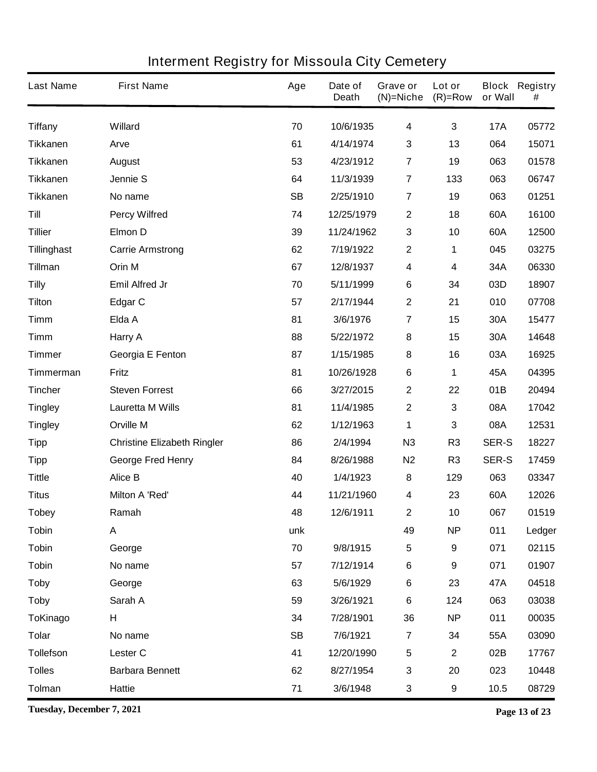| <b>Last Name</b>   | <b>First Name</b>                  | Age       | Date of<br><b>Death</b> | Grave or<br>$(N)=Niche$ | Lot or<br>$(R)=Row$ | or Wall      | <b>Block Registry</b><br># |
|--------------------|------------------------------------|-----------|-------------------------|-------------------------|---------------------|--------------|----------------------------|
| <b>Tiffany</b>     | <b>Willard</b>                     | 70        | 10/6/1935               | 4                       | 3                   | <b>17A</b>   | 05772                      |
| <b>Tikkanen</b>    | Arve                               | 61        | 4/14/1974               | 3                       | 13                  | 064          | 15071                      |
| <b>Tikkanen</b>    | <b>August</b>                      | 53        | 4/23/1912               | 7                       | 19                  | 063          | 01578                      |
| <b>Tikkanen</b>    | Jennie S                           | 64        | 11/3/1939               | $\overline{7}$          | 133                 | 063          | 06747                      |
| <b>Tikkanen</b>    | No name                            | <b>SB</b> | 2/25/1910               | 7                       | 19                  | 063          | 01251                      |
| Till               | <b>Percy Wilfred</b>               | 74        | 12/25/1979              | $\boldsymbol{2}$        | 18                  | 60A          | 16100                      |
| <b>Tillier</b>     | Elmon D                            | 39        | 11/24/1962              | 3                       | 10                  | 60A          | 12500                      |
| <b>Tillinghast</b> | <b>Carrie Armstrong</b>            | 62        | 7/19/1922               | $\mathbf 2$             | 1                   | 045          | 03275                      |
| Tillman            | Orin M                             | 67        | 12/8/1937               | 4                       | 4                   | 34A          | 06330                      |
| <b>Tilly</b>       | <b>Emil Alfred Jr</b>              | 70        | 5/11/1999               | 6                       | 34                  | 03D          | 18907                      |
| <b>Tilton</b>      | <b>Edgar C</b>                     | 57        | 2/17/1944               | 2                       | 21                  | 010          | 07708                      |
| Timm               | Elda A                             | 81        | 3/6/1976                | 7                       | 15                  | 30A          | 15477                      |
| <b>Timm</b>        | <b>Harry A</b>                     | 88        | 5/22/1972               | 8                       | 15                  | 30A          | 14648                      |
| <b>Timmer</b>      | Georgia E Fenton                   | 87        | 1/15/1985               | 8                       | 16                  | 03A          | 16925                      |
| Timmerman          | <b>Fritz</b>                       | 81        | 10/26/1928              | 6                       | 1                   | 45A          | 04395                      |
| <b>Tincher</b>     | <b>Steven Forrest</b>              | 66        | 3/27/2015               | $\boldsymbol{2}$        | 22                  | 01B          | 20494                      |
| <b>Tingley</b>     | <b>Lauretta M Wills</b>            | 81        | 11/4/1985               | 2                       | 3                   | 08A          | 17042                      |
| <b>Tingley</b>     | <b>Orville M</b>                   | 62        | 1/12/1963               | 1                       | 3                   | 08A          | 12531                      |
| <b>Tipp</b>        | <b>Christine Elizabeth Ringler</b> | 86        | 2/4/1994                | N3                      | R <sub>3</sub>      | <b>SER-S</b> | 18227                      |
| <b>Tipp</b>        | <b>George Fred Henry</b>           | 84        | 8/26/1988               | N <sub>2</sub>          | R <sub>3</sub>      | <b>SER-S</b> | 17459                      |
| <b>Tittle</b>      | <b>Alice B</b>                     | 40        | 1/4/1923                | 8                       | 129                 | 063          | 03347                      |
| <b>Titus</b>       | <b>Milton A 'Red'</b>              | 44        | 11/21/1960              | 4                       | 23                  | 60A          | 12026                      |
| <b>Tobey</b>       | Ramah                              | 48        | 12/6/1911               | 2                       | 10                  | 067          | 01519                      |
| <b>Tobin</b>       | A                                  | unk       |                         | 49                      | <b>NP</b>           | 011          | Ledger                     |
| <b>Tobin</b>       | George                             | 70        | 9/8/1915                | 5                       | 9                   | 071          | 02115                      |
| <b>Tobin</b>       | No name                            | 57        | 7/12/1914               | 6                       | 9                   | 071          | 01907                      |
| <b>Toby</b>        | George                             | 63        | 5/6/1929                | 6                       | 23                  | 47A          | 04518                      |
| <b>Toby</b>        | Sarah A                            | 59        | 3/26/1921               | 6                       | 124                 | 063          | 03038                      |
| <b>ToKinago</b>    | н                                  | 34        | 7/28/1901               | 36                      | <b>NP</b>           | 011          | 00035                      |
| <b>Tolar</b>       | No name                            | <b>SB</b> | 7/6/1921                | $\overline{\mathbf{z}}$ | 34                  | 55A          | 03090                      |
| <b>Tollefson</b>   | Lester <sub>C</sub>                | 41        | 12/20/1990              | $\overline{\mathbf{5}}$ | $\boldsymbol{2}$    | 02B          | 17767                      |
| <b>Tolles</b>      | <b>Barbara Bennett</b>             | 62        | 8/27/1954               | 3                       | 20                  | 023          | 10448                      |
| <b>Tolman</b>      | <b>Hattie</b>                      | 71        | 3/6/1948                | 3                       | 9                   | 10.5         | 08729                      |

**Tuesday, December 7, 2021 Page 13 of 23**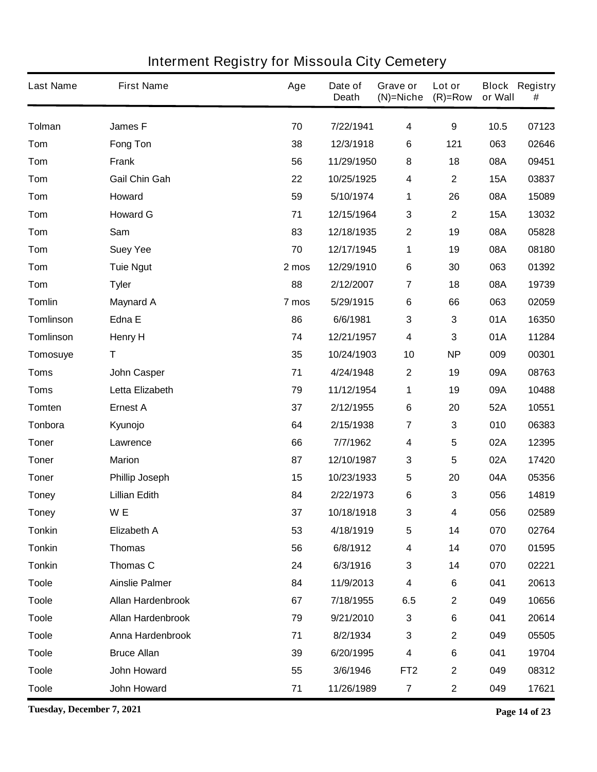| <b>Last Name</b> | <b>First Name</b>        | Age   | Date of<br><b>Death</b> | Grave or<br>$(N)$ =Niche | Lot or<br>$(R)=Row$     | or Wall    | <b>Block Registry</b><br># |
|------------------|--------------------------|-------|-------------------------|--------------------------|-------------------------|------------|----------------------------|
| <b>Tolman</b>    | <b>James F</b>           | 70    | 7/22/1941               | $\overline{\mathbf{4}}$  | 9                       | 10.5       | 07123                      |
| Tom              | <b>Fong Ton</b>          | 38    | 12/3/1918               | 6                        | 121                     | 063        | 02646                      |
| Tom              | <b>Frank</b>             | 56    | 11/29/1950              | 8                        | 18                      | 08A        | 09451                      |
| Tom              | <b>Gail Chin Gah</b>     | 22    | 10/25/1925              | 4                        | $\overline{\mathbf{2}}$ | <b>15A</b> | 03837                      |
| Tom              | Howard                   | 59    | 5/10/1974               | 1                        | 26                      | 08A        | 15089                      |
| Tom              | <b>Howard G</b>          | 71    | 12/15/1964              | 3                        | $\mathbf{2}$            | <b>15A</b> | 13032                      |
| Tom              | Sam                      | 83    | 12/18/1935              | $\mathbf 2$              | 19                      | 08A        | 05828                      |
| Tom              | <b>Suey Yee</b>          | 70    | 12/17/1945              | 1                        | 19                      | 08A        | 08180                      |
| Tom              | <b>Tuie Ngut</b>         | 2 mos | 12/29/1910              | $\bf 6$                  | 30                      | 063        | 01392                      |
| Tom              | <b>Tyler</b>             | 88    | 2/12/2007               | $\overline{\mathbf{7}}$  | 18                      | 08A        | 19739                      |
| <b>Tomlin</b>    | <b>Maynard A</b>         | 7 mos | 5/29/1915               | 6                        | 66                      | 063        | 02059                      |
| <b>Tomlinson</b> | Edna E                   | 86    | 6/6/1981                | 3                        | 3                       | 01A        | 16350                      |
| <b>Tomlinson</b> | <b>Henry H</b>           | 74    | 12/21/1957              | 4                        | 3                       | 01A        | 11284                      |
| Tomosuye         | T                        | 35    | 10/24/1903              | 10                       | <b>NP</b>               | 009        | 00301                      |
| <b>Toms</b>      | <b>John Casper</b>       | 71    | 4/24/1948               | $\mathbf 2$              | 19                      | 09A        | 08763                      |
| <b>Toms</b>      | Letta Elizabeth          | 79    | 11/12/1954              | 1                        | 19                      | 09A        | 10488                      |
| <b>Tomten</b>    | <b>Ernest A</b>          | 37    | 2/12/1955               | 6                        | 20                      | 52A        | 10551                      |
| Tonbora          | Kyunojo                  | 64    | 2/15/1938               | 7                        | 3                       | 010        | 06383                      |
| <b>Toner</b>     | Lawrence                 | 66    | 7/7/1962                | 4                        | 5                       | 02A        | 12395                      |
| <b>Toner</b>     | <b>Marion</b>            | 87    | 12/10/1987              | 3                        | 5                       | 02A        | 17420                      |
| <b>Toner</b>     | <b>Phillip Joseph</b>    | 15    | 10/23/1933              | 5                        | 20                      | 04A        | 05356                      |
| <b>Toney</b>     | <b>Lillian Edith</b>     | 84    | 2/22/1973               | 6                        | 3                       | 056        | 14819                      |
| <b>Toney</b>     | W E                      | 37    | 10/18/1918              | 3                        | 4                       | 056        | 02589                      |
| <b>Tonkin</b>    | <b>Elizabeth A</b>       | 53    | 4/18/1919               | 5                        | 14                      | 070        | 02764                      |
| <b>Tonkin</b>    | <b>Thomas</b>            | 56    | 6/8/1912                | 4                        | 14                      | 070        | 01595                      |
| <b>Tonkin</b>    | Thomas C                 | 24    | 6/3/1916                | 3                        | 14                      | 070        | 02221                      |
| <b>Toole</b>     | <b>Ainslie Palmer</b>    | 84    | 11/9/2013               | 4                        | 6                       | 041        | 20613                      |
| <b>Toole</b>     | <b>Allan Hardenbrook</b> | 67    | 7/18/1955               | 6.5                      | $\mathbf 2$             | 049        | 10656                      |
| <b>Toole</b>     | <b>Allan Hardenbrook</b> | 79    | 9/21/2010               | $\mathbf{3}$             | 6                       | 041        | 20614                      |
| <b>Toole</b>     | Anna Hardenbrook         | 71    | 8/2/1934                | 3                        | $\mathbf 2$             | 049        | 05505                      |
| <b>Toole</b>     | <b>Bruce Allan</b>       | 39    | 6/20/1995               | 4                        | 6                       | 041        | 19704                      |
| <b>Toole</b>     | <b>John Howard</b>       | 55    | 3/6/1946                | FT <sub>2</sub>          | $\mathbf 2$             | 049        | 08312                      |
| <b>Toole</b>     | John Howard              | 71    | 11/26/1989              | $\overline{7}$           | $\mathbf 2$             | 049        | 17621                      |

**Tuesday, December 7, 2021 Page 14 of 23**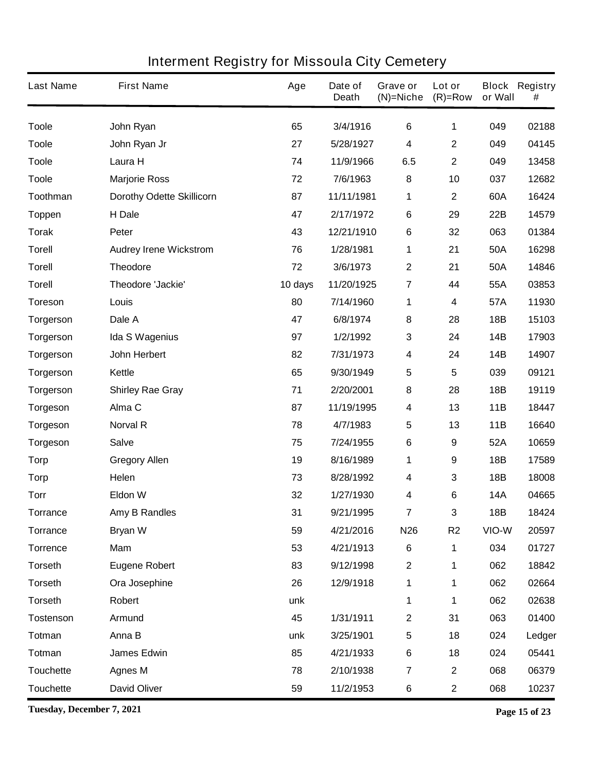| <b>Last Name</b> | <b>First Name</b>                | Age     | Date of<br><b>Death</b> | Grave or<br>$(N)$ =Niche | Lot or<br>$(R)=Row$ | or Wall    | <b>Block Registry</b><br># |
|------------------|----------------------------------|---------|-------------------------|--------------------------|---------------------|------------|----------------------------|
| <b>Toole</b>     | John Ryan                        | 65      | 3/4/1916                | 6                        | 1                   | 049        | 02188                      |
| <b>Toole</b>     | John Ryan Jr                     | 27      | 5/28/1927               | 4                        | $\mathbf 2$         | 049        | 04145                      |
| <b>Toole</b>     | Laura H                          | 74      | 11/9/1966               | 6.5                      | $\mathbf 2$         | 049        | 13458                      |
| <b>Toole</b>     | <b>Marjorie Ross</b>             | 72      | 7/6/1963                | 8                        | 10                  | 037        | 12682                      |
| Toothman         | <b>Dorothy Odette Skillicorn</b> | 87      | 11/11/1981              | 1                        | $\mathbf 2$         | 60A        | 16424                      |
| <b>Toppen</b>    | H Dale                           | 47      | 2/17/1972               | $\bf 6$                  | 29                  | 22B        | 14579                      |
| <b>Torak</b>     | Peter                            | 43      | 12/21/1910              | 6                        | 32                  | 063        | 01384                      |
| <b>Torell</b>    | <b>Audrey Irene Wickstrom</b>    | 76      | 1/28/1981               | 1                        | 21                  | 50A        | 16298                      |
| <b>Torell</b>    | <b>Theodore</b>                  | 72      | 3/6/1973                | $\mathbf 2$              | 21                  | 50A        | 14846                      |
| <b>Torell</b>    | Theodore 'Jackie'                | 10 days | 11/20/1925              | 7                        | 44                  | 55A        | 03853                      |
| <b>Toreson</b>   | Louis                            | 80      | 7/14/1960               | 1                        | 4                   | 57A        | 11930                      |
| <b>Torgerson</b> | Dale A                           | 47      | 6/8/1974                | 8                        | 28                  | <b>18B</b> | 15103                      |
| <b>Torgerson</b> | <b>Ida S Wagenius</b>            | 97      | 1/2/1992                | 3                        | 24                  | 14B        | 17903                      |
| <b>Torgerson</b> | John Herbert                     | 82      | 7/31/1973               | 4                        | 24                  | 14B        | 14907                      |
| <b>Torgerson</b> | Kettle                           | 65      | 9/30/1949               | 5                        | 5                   | 039        | 09121                      |
| <b>Torgerson</b> | <b>Shirley Rae Gray</b>          | 71      | 2/20/2001               | 8                        | 28                  | 18B        | 19119                      |
| <b>Torgeson</b>  | Alma C                           | 87      | 11/19/1995              | 4                        | 13                  | 11B        | 18447                      |
| <b>Torgeson</b>  | <b>Norval R</b>                  | 78      | 4/7/1983                | 5                        | 13                  | 11B        | 16640                      |
| <b>Torgeson</b>  | <b>Salve</b>                     | 75      | 7/24/1955               | 6                        | 9                   | 52A        | 10659                      |
| <b>Torp</b>      | <b>Gregory Allen</b>             | 19      | 8/16/1989               | 1                        | 9                   | 18B        | 17589                      |
| <b>Torp</b>      | Helen                            | 73      | 8/28/1992               | 4                        | 3                   | 18B        | 18008                      |
| <b>Torr</b>      | <b>Eldon W</b>                   | 32      | 1/27/1930               | 4                        | 6                   | <b>14A</b> | 04665                      |
| <b>Torrance</b>  | <b>Amy B Randles</b>             | 31      | 9/21/1995               | 7                        | 3                   | 18B        | 18424                      |
| <b>Torrance</b>  | <b>Bryan W</b>                   | 59      | 4/21/2016               | N <sub>26</sub>          | R <sub>2</sub>      | VIO-W      | 20597                      |
| <b>Torrence</b>  | <b>Mam</b>                       | 53      | 4/21/1913               | $6\phantom{1}6$          | 1                   | 034        | 01727                      |
| <b>Torseth</b>   | <b>Eugene Robert</b>             | 83      | 9/12/1998               | $\mathbf 2$              | 1                   | 062        | 18842                      |
| <b>Torseth</b>   | Ora Josephine                    | 26      | 12/9/1918               | 1                        | 1                   | 062        | 02664                      |
| <b>Torseth</b>   | Robert                           | unk     |                         | 1                        | 1                   | 062        | 02638                      |
| <b>Tostenson</b> | <b>Armund</b>                    | 45      | 1/31/1911               | 2                        | 31                  | 063        | 01400                      |
| <b>Totman</b>    | Anna B                           | unk     | 3/25/1901               | 5                        | 18                  | 024        | Ledger                     |
| Totman           | <b>James Edwin</b>               | 85      | 4/21/1933               | 6                        | 18                  | 024        | 05441                      |
| <b>Touchette</b> | <b>Agnes M</b>                   | 78      | 2/10/1938               | $\overline{\mathbf{7}}$  | $\mathbf 2$         | 068        | 06379                      |
| <b>Touchette</b> | <b>David Oliver</b>              | 59      | 11/2/1953               | 6                        | $\mathbf 2$         | 068        | 10237                      |

**Tuesday, December 7, 2021 Page 15 of 23**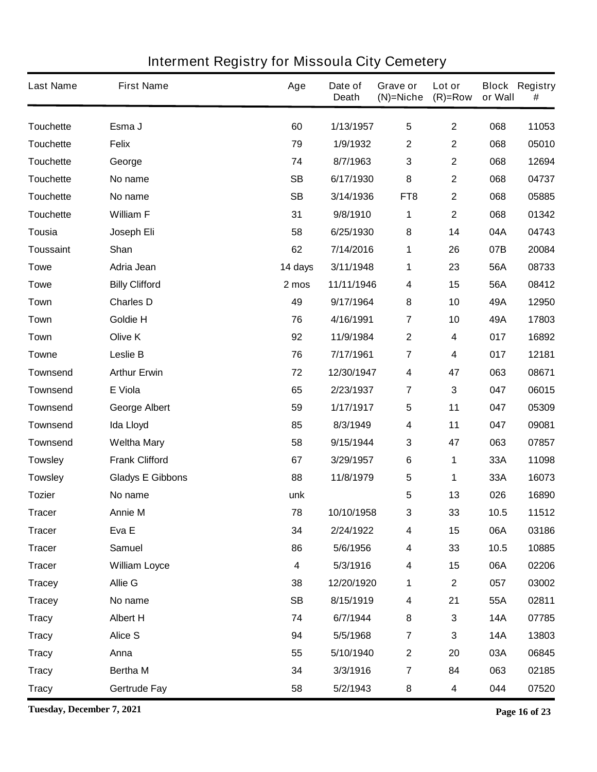| <b>Last Name</b> | <b>First Name</b>       | Age       | Date of<br><b>Death</b> | Grave or<br>$(N)$ =Niche | Lot or<br>$(R)=Row$ | or Wall    | <b>Block Registry</b><br># |
|------------------|-------------------------|-----------|-------------------------|--------------------------|---------------------|------------|----------------------------|
| <b>Touchette</b> | Esma J                  | 60        | 1/13/1957               | 5                        | $\mathbf 2$         | 068        | 11053                      |
| <b>Touchette</b> | <b>Felix</b>            | 79        | 1/9/1932                | 2                        | $\mathbf 2$         | 068        | 05010                      |
| <b>Touchette</b> | George                  | 74        | 8/7/1963                | 3                        | $\mathbf 2$         | 068        | 12694                      |
| <b>Touchette</b> | No name                 | <b>SB</b> | 6/17/1930               | 8                        | $\mathbf 2$         | 068        | 04737                      |
| <b>Touchette</b> | No name                 | <b>SB</b> | 3/14/1936               | FT <sub>8</sub>          | $\mathbf 2$         | 068        | 05885                      |
| <b>Touchette</b> | <b>William F</b>        | 31        | 9/8/1910                | 1                        | $\mathbf 2$         | 068        | 01342                      |
| Tousia           | Joseph Eli              | 58        | 6/25/1930               | 8                        | 14                  | 04A        | 04743                      |
| <b>Toussaint</b> | Shan                    | 62        | 7/14/2016               | 1                        | 26                  | 07B        | 20084                      |
| <b>Towe</b>      | Adria Jean              | 14 days   | 3/11/1948               | 1                        | 23                  | 56A        | 08733                      |
| <b>Towe</b>      | <b>Billy Clifford</b>   | 2 mos     | 11/11/1946              | 4                        | 15                  | 56A        | 08412                      |
| <b>Town</b>      | <b>Charles D</b>        | 49        | 9/17/1964               | 8                        | 10                  | 49A        | 12950                      |
| <b>Town</b>      | <b>Goldie H</b>         | 76        | 4/16/1991               | $\overline{7}$           | 10                  | 49A        | 17803                      |
| Town             | Olive K                 | 92        | 11/9/1984               | $\mathbf 2$              | 4                   | 017        | 16892                      |
| Towne            | <b>Leslie B</b>         | 76        | 7/17/1961               | $\overline{7}$           | 4                   | 017        | 12181                      |
| <b>Townsend</b>  | <b>Arthur Erwin</b>     | 72        | 12/30/1947              | 4                        | 47                  | 063        | 08671                      |
| <b>Townsend</b>  | E Viola                 | 65        | 2/23/1937               | 7                        | 3                   | 047        | 06015                      |
| <b>Townsend</b>  | <b>George Albert</b>    | 59        | 1/17/1917               | 5                        | 11                  | 047        | 05309                      |
| <b>Townsend</b>  | Ida Lloyd               | 85        | 8/3/1949                | 4                        | 11                  | 047        | 09081                      |
| <b>Townsend</b>  | <b>Weltha Mary</b>      | 58        | 9/15/1944               | 3                        | 47                  | 063        | 07857                      |
| <b>Towsley</b>   | <b>Frank Clifford</b>   | 67        | 3/29/1957               | 6                        | 1                   | 33A        | 11098                      |
| <b>Towsley</b>   | <b>Gladys E Gibbons</b> | 88        | 11/8/1979               | 5                        | 1                   | 33A        | 16073                      |
| <b>Tozier</b>    | No name                 | unk       |                         | 5                        | 13                  | 026        | 16890                      |
| Tracer           | <b>Annie M</b>          | 78        | 10/10/1958              | 3                        | 33                  | 10.5       | 11512                      |
| <b>Tracer</b>    | Eva E                   | 34        | 2/24/1922               | 4                        | 15                  | 06A        | 03186                      |
| <b>Tracer</b>    | <b>Samuel</b>           | 86        | 5/6/1956                | 4                        | 33                  | 10.5       | 10885                      |
| <b>Tracer</b>    | <b>William Loyce</b>    | 4         | 5/3/1916                | 4                        | 15                  | 06A        | 02206                      |
| <b>Tracey</b>    | Allie G                 | 38        | 12/20/1920              | 1                        | $\mathbf 2$         | 057        | 03002                      |
| <b>Tracey</b>    | No name                 | <b>SB</b> | 8/15/1919               | 4                        | 21                  | 55A        | 02811                      |
| <b>Tracy</b>     | <b>Albert H</b>         | 74        | 6/7/1944                | 8                        | 3                   | <b>14A</b> | 07785                      |
| <b>Tracy</b>     | <b>Alice S</b>          | 94        | 5/5/1968                | $\overline{7}$           | 3                   | <b>14A</b> | 13803                      |
| <b>Tracy</b>     | Anna                    | 55        | 5/10/1940               | $\mathbf 2$              | 20                  | 03A        | 06845                      |
| <b>Tracy</b>     | Bertha M                | 34        | 3/3/1916                | $\overline{7}$           | 84                  | 063        | 02185                      |
| <b>Tracy</b>     | <b>Gertrude Fay</b>     | 58        | 5/2/1943                | 8                        | 4                   | 044        | 07520                      |

**Tuesday, December 7, 2021 Page 16 of 23**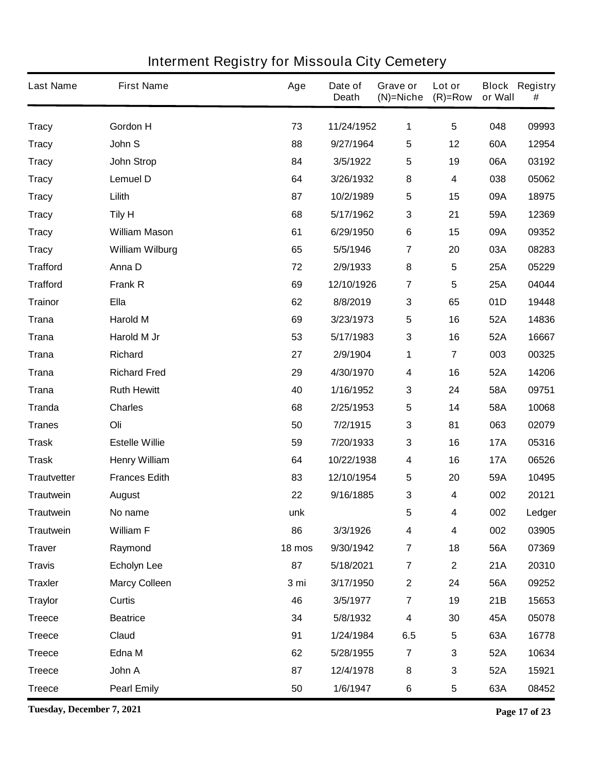| <b>Last Name</b>   | <b>First Name</b>      | Age    | Date of<br><b>Death</b> | Grave or<br>$(N)$ =Niche | Lot or<br>$(R)=Row$     | or Wall    | <b>Block Registry</b><br># |
|--------------------|------------------------|--------|-------------------------|--------------------------|-------------------------|------------|----------------------------|
| <b>Tracy</b>       | <b>Gordon H</b>        | 73     | 11/24/1952              | 1                        | $5\phantom{.0}$         | 048        | 09993                      |
| <b>Tracy</b>       | John S                 | 88     | 9/27/1964               | 5                        | 12                      | 60A        | 12954                      |
| <b>Tracy</b>       | <b>John Strop</b>      | 84     | 3/5/1922                | 5                        | 19                      | 06A        | 03192                      |
| <b>Tracy</b>       | <b>Lemuel D</b>        | 64     | 3/26/1932               | 8                        | 4                       | 038        | 05062                      |
| <b>Tracy</b>       | Lilith                 | 87     | 10/2/1989               | 5                        | 15                      | 09A        | 18975                      |
| <b>Tracy</b>       | <b>Tily H</b>          | 68     | 5/17/1962               | 3                        | 21                      | 59A        | 12369                      |
| <b>Tracy</b>       | <b>William Mason</b>   | 61     | 6/29/1950               | $\bf 6$                  | 15                      | 09A        | 09352                      |
| <b>Tracy</b>       | <b>William Wilburg</b> | 65     | 5/5/1946                | $\overline{\mathbf{7}}$  | 20                      | 03A        | 08283                      |
| <b>Trafford</b>    | Anna D                 | 72     | 2/9/1933                | 8                        | $5\phantom{.0}$         | 25A        | 05229                      |
| <b>Trafford</b>    | <b>Frank R</b>         | 69     | 12/10/1926              | $\overline{\mathbf{7}}$  | 5                       | 25A        | 04044                      |
| <b>Trainor</b>     | <b>Ella</b>            | 62     | 8/8/2019                | 3                        | 65                      | 01D        | 19448                      |
| <b>Trana</b>       | <b>Harold M</b>        | 69     | 3/23/1973               | 5                        | 16                      | 52A        | 14836                      |
| <b>Trana</b>       | Harold M Jr            | 53     | 5/17/1983               | 3                        | 16                      | 52A        | 16667                      |
| <b>Trana</b>       | <b>Richard</b>         | 27     | 2/9/1904                | 1                        | $\overline{7}$          | 003        | 00325                      |
| <b>Trana</b>       | <b>Richard Fred</b>    | 29     | 4/30/1970               | 4                        | 16                      | 52A        | 14206                      |
| <b>Trana</b>       | <b>Ruth Hewitt</b>     | 40     | 1/16/1952               | 3                        | 24                      | 58A        | 09751                      |
| <b>Tranda</b>      | <b>Charles</b>         | 68     | 2/25/1953               | 5                        | 14                      | 58A        | 10068                      |
| <b>Tranes</b>      | Oli                    | 50     | 7/2/1915                | 3                        | 81                      | 063        | 02079                      |
| <b>Trask</b>       | <b>Estelle Willie</b>  | 59     | 7/20/1933               | 3                        | 16                      | <b>17A</b> | 05316                      |
| <b>Trask</b>       | <b>Henry William</b>   | 64     | 10/22/1938              | 4                        | 16                      | <b>17A</b> | 06526                      |
| <b>Trautvetter</b> | <b>Frances Edith</b>   | 83     | 12/10/1954              | 5                        | 20                      | 59A        | 10495                      |
| <b>Trautwein</b>   | <b>August</b>          | 22     | 9/16/1885               | 3                        | 4                       | 002        | 20121                      |
| <b>Trautwein</b>   | No name                | unk    |                         | 5                        | 4                       | 002        | Ledger                     |
| <b>Trautwein</b>   | <b>William F</b>       | 86     | 3/3/1926                | 4                        | 4                       | 002        | 03905                      |
| <b>Traver</b>      | Raymond                | 18 mos | 9/30/1942               | $\overline{\mathbf{7}}$  | 18                      | 56A        | 07369                      |
| <b>Travis</b>      | <b>Echolyn Lee</b>     | 87     | 5/18/2021               | $\overline{7}$           | $\mathbf{2}$            | 21A        | 20310                      |
| <b>Traxler</b>     | <b>Marcy Colleen</b>   | 3 mi   | 3/17/1950               | $\mathbf 2$              | 24                      | 56A        | 09252                      |
| <b>Traylor</b>     | Curtis                 | 46     | 3/5/1977                | $\overline{7}$           | 19                      | 21B        | 15653                      |
| <b>Treece</b>      | <b>Beatrice</b>        | 34     | 5/8/1932                | $\overline{\mathbf{4}}$  | 30                      | 45A        | 05078                      |
| <b>Treece</b>      | Claud                  | 91     | 1/24/1984               | 6.5                      | $\overline{\mathbf{5}}$ | 63A        | 16778                      |
| <b>Treece</b>      | Edna M                 | 62     | 5/28/1955               | $\overline{\mathbf{r}}$  | 3                       | 52A        | 10634                      |
| <b>Treece</b>      | John A                 | 87     | 12/4/1978               | 8                        | 3                       | 52A        | 15921                      |
| <b>Treece</b>      | <b>Pearl Emily</b>     | 50     | 1/6/1947                | 6                        | 5                       | 63A        | 08452                      |

**Tuesday, December 7, 2021 Page 17 of 23**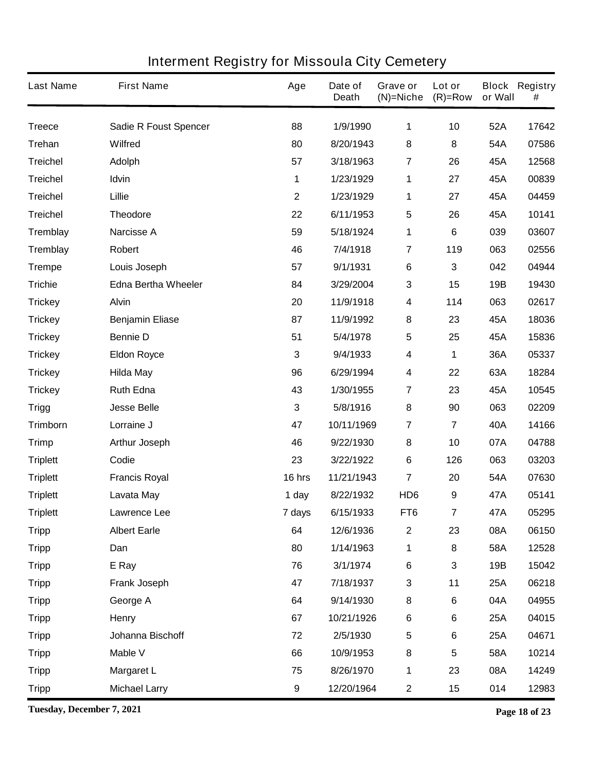| <b>Last Name</b> | <b>First Name</b>            | Age              | Date of<br><b>Death</b> | Grave or<br>$(N)$ =Niche | Lot or<br>$(R)=Row$     | or Wall | <b>Block Registry</b><br># |
|------------------|------------------------------|------------------|-------------------------|--------------------------|-------------------------|---------|----------------------------|
| <b>Treece</b>    | <b>Sadie R Foust Spencer</b> | 88               | 1/9/1990                | 1                        | 10                      | 52A     | 17642                      |
| <b>Trehan</b>    | <b>Wilfred</b>               | 80               | 8/20/1943               | 8                        | 8                       | 54A     | 07586                      |
| <b>Treichel</b>  | <b>Adolph</b>                | 57               | 3/18/1963               | $\overline{\mathbf{r}}$  | 26                      | 45A     | 12568                      |
| <b>Treichel</b>  | Idvin                        | 1                | 1/23/1929               | 1                        | 27                      | 45A     | 00839                      |
| <b>Treichel</b>  | Lillie                       | $\mathbf{2}$     | 1/23/1929               | 1                        | 27                      | 45A     | 04459                      |
| <b>Treichel</b>  | <b>Theodore</b>              | 22               | 6/11/1953               | 5                        | 26                      | 45A     | 10141                      |
| <b>Tremblay</b>  | <b>Narcisse A</b>            | 59               | 5/18/1924               | 1                        | 6                       | 039     | 03607                      |
| <b>Tremblay</b>  | Robert                       | 46               | 7/4/1918                | $\overline{7}$           | 119                     | 063     | 02556                      |
| <b>Trempe</b>    | Louis Joseph                 | 57               | 9/1/1931                | $\bf 6$                  | 3                       | 042     | 04944                      |
| <b>Trichie</b>   | <b>Edna Bertha Wheeler</b>   | 84               | 3/29/2004               | 3                        | 15                      | 19B     | 19430                      |
| <b>Trickey</b>   | <b>Alvin</b>                 | 20               | 11/9/1918               | 4                        | 114                     | 063     | 02617                      |
| <b>Trickey</b>   | <b>Benjamin Eliase</b>       | 87               | 11/9/1992               | 8                        | 23                      | 45A     | 18036                      |
| <b>Trickey</b>   | <b>Bennie D</b>              | 51               | 5/4/1978                | 5                        | 25                      | 45A     | 15836                      |
| <b>Trickey</b>   | <b>Eldon Royce</b>           | 3                | 9/4/1933                | 4                        | 1                       | 36A     | 05337                      |
| <b>Trickey</b>   | <b>Hilda May</b>             | 96               | 6/29/1994               | 4                        | 22                      | 63A     | 18284                      |
| <b>Trickey</b>   | <b>Ruth Edna</b>             | 43               | 1/30/1955               | $\overline{\mathbf{7}}$  | 23                      | 45A     | 10545                      |
| <b>Trigg</b>     | <b>Jesse Belle</b>           | $\mathbf{3}$     | 5/8/1916                | 8                        | 90                      | 063     | 02209                      |
| <b>Trimborn</b>  | Lorraine J                   | 47               | 10/11/1969              | $\overline{7}$           | 7                       | 40A     | 14166                      |
| <b>Trimp</b>     | <b>Arthur Joseph</b>         | 46               | 9/22/1930               | 8                        | 10                      | 07A     | 04788                      |
| <b>Triplett</b>  | Codie                        | 23               | 3/22/1922               | $\bf 6$                  | 126                     | 063     | 03203                      |
| <b>Triplett</b>  | <b>Francis Royal</b>         | 16 hrs           | 11/21/1943              | $\overline{7}$           | 20                      | 54A     | 07630                      |
| <b>Triplett</b>  | Lavata May                   | 1 day            | 8/22/1932               | HD <sub>6</sub>          | 9                       | 47A     | 05141                      |
| <b>Triplett</b>  | Lawrence Lee                 | 7 days           | 6/15/1933               | FT6                      | 7                       | 47A     | 05295                      |
| <b>Tripp</b>     | <b>Albert Earle</b>          | 64               | 12/6/1936               | $\boldsymbol{2}$         | 23                      | 08A     | 06150                      |
| <b>Tripp</b>     | Dan                          | 80               | 1/14/1963               | 1                        | 8                       | 58A     | 12528                      |
| <b>Tripp</b>     | E Ray                        | 76               | 3/1/1974                | $\bf 6$                  | 3                       | 19B     | 15042                      |
| <b>Tripp</b>     | Frank Joseph                 | 47               | 7/18/1937               | $\mathbf 3$              | 11                      | 25A     | 06218                      |
| <b>Tripp</b>     | George A                     | 64               | 9/14/1930               | 8                        | $\bf 6$                 | 04A     | 04955                      |
| <b>Tripp</b>     | Henry                        | 67               | 10/21/1926              | $\bf 6$                  | 6                       | 25A     | 04015                      |
| <b>Tripp</b>     | Johanna Bischoff             | 72               | 2/5/1930                | $\overline{\mathbf{5}}$  | 6                       | 25A     | 04671                      |
| <b>Tripp</b>     | Mable V                      | 66               | 10/9/1953               | 8                        | $\overline{\mathbf{5}}$ | 58A     | 10214                      |
| <b>Tripp</b>     | <b>Margaret L</b>            | 75               | 8/26/1970               | 1                        | 23                      | 08A     | 14249                      |
| <b>Tripp</b>     | <b>Michael Larry</b>         | $\boldsymbol{9}$ | 12/20/1964              | $\mathbf 2$              | 15                      | 014     | 12983                      |

**Tuesday, December 7, 2021 Page 18 of 23**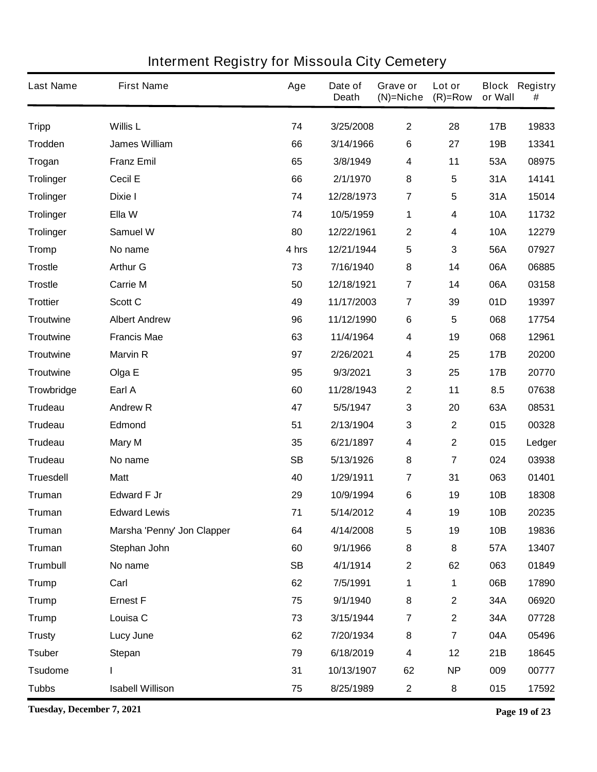| <b>Last Name</b> | <b>First Name</b>          | Age       | Date of<br><b>Death</b> | Grave or<br>$(N)$ =Niche | Lot or<br>$(R)=Row$     | or Wall    | <b>Block Registry</b><br># |
|------------------|----------------------------|-----------|-------------------------|--------------------------|-------------------------|------------|----------------------------|
| <b>Tripp</b>     | <b>Willis L</b>            | 74        | 3/25/2008               | $\mathbf{2}$             | 28                      | 17B        | 19833                      |
| Trodden          | <b>James William</b>       | 66        | 3/14/1966               | 6                        | 27                      | 19B        | 13341                      |
| <b>Trogan</b>    | <b>Franz Emil</b>          | 65        | 3/8/1949                | 4                        | 11                      | 53A        | 08975                      |
| <b>Trolinger</b> | <b>Cecil E</b>             | 66        | 2/1/1970                | 8                        | 5                       | 31A        | 14141                      |
| <b>Trolinger</b> | Dixie I                    | 74        | 12/28/1973              | $\overline{7}$           | $\overline{\mathbf{5}}$ | 31A        | 15014                      |
| <b>Trolinger</b> | Ella W                     | 74        | 10/5/1959               | 1                        | 4                       | <b>10A</b> | 11732                      |
| <b>Trolinger</b> | <b>Samuel W</b>            | 80        | 12/22/1961              | $\boldsymbol{2}$         | 4                       | <b>10A</b> | 12279                      |
| <b>Tromp</b>     | No name                    | 4 hrs     | 12/21/1944              | 5                        | 3                       | 56A        | 07927                      |
| <b>Trostle</b>   | <b>Arthur G</b>            | 73        | 7/16/1940               | 8                        | 14                      | 06A        | 06885                      |
| <b>Trostle</b>   | <b>Carrie M</b>            | 50        | 12/18/1921              | $\overline{\mathbf{7}}$  | 14                      | 06A        | 03158                      |
| <b>Trottier</b>  | Scott C                    | 49        | 11/17/2003              | $\overline{7}$           | 39                      | 01D        | 19397                      |
| <b>Troutwine</b> | <b>Albert Andrew</b>       | 96        | 11/12/1990              | $\bf 6$                  | $5\phantom{.0}$         | 068        | 17754                      |
| <b>Troutwine</b> | <b>Francis Mae</b>         | 63        | 11/4/1964               | 4                        | 19                      | 068        | 12961                      |
| <b>Troutwine</b> | <b>Marvin R</b>            | 97        | 2/26/2021               | 4                        | 25                      | 17B        | 20200                      |
| <b>Troutwine</b> | Olga E                     | 95        | 9/3/2021                | $\mathbf 3$              | 25                      | 17B        | 20770                      |
| Trowbridge       | Earl A                     | 60        | 11/28/1943              | $\mathbf 2$              | 11                      | 8.5        | 07638                      |
| <b>Trudeau</b>   | <b>Andrew R</b>            | 47        | 5/5/1947                | $\mathbf 3$              | 20                      | 63A        | 08531                      |
| <b>Trudeau</b>   | <b>Edmond</b>              | 51        | 2/13/1904               | 3                        | $\mathbf{2}$            | 015        | 00328                      |
| <b>Trudeau</b>   | <b>Mary M</b>              | 35        | 6/21/1897               | 4                        | $\mathbf{2}$            | 015        | Ledger                     |
| <b>Trudeau</b>   | No name                    | <b>SB</b> | 5/13/1926               | 8                        | $\overline{\mathbf{7}}$ | 024        | 03938                      |
| <b>Truesdell</b> | <b>Matt</b>                | 40        | 1/29/1911               | $\overline{\mathbf{7}}$  | 31                      | 063        | 01401                      |
| <b>Truman</b>    | <b>Edward F Jr</b>         | 29        | 10/9/1994               | 6                        | 19                      | 10B        | 18308                      |
| <b>Truman</b>    | <b>Edward Lewis</b>        | 71        | 5/14/2012               | 4                        | 19                      | 10B        | 20235                      |
| <b>Truman</b>    | Marsha 'Penny' Jon Clapper | 64        | 4/14/2008               | 5                        | 19                      | 10B        | 19836                      |
| <b>Truman</b>    | Stephan John               | 60        | 9/1/1966                | 8                        | 8                       | 57A        | 13407                      |
| <b>Trumbull</b>  | No name                    | <b>SB</b> | 4/1/1914                | $\mathbf 2$              | 62                      | 063        | 01849                      |
| <b>Trump</b>     | Carl                       | 62        | 7/5/1991                | 1                        | 1                       | 06B        | 17890                      |
| <b>Trump</b>     | <b>Ernest F</b>            | 75        | 9/1/1940                | 8                        | $\mathbf 2$             | 34A        | 06920                      |
| <b>Trump</b>     | Louisa C                   | 73        | 3/15/1944               | $\overline{\mathbf{7}}$  | $\mathbf{2}$            | 34A        | 07728                      |
| <b>Trusty</b>    | <b>Lucy June</b>           | 62        | 7/20/1934               | 8                        | $\overline{\mathbf{7}}$ | 04A        | 05496                      |
| <b>Tsuber</b>    | <b>Stepan</b>              | 79        | 6/18/2019               | 4                        | 12                      | 21B        | 18645                      |
| <b>Tsudome</b>   |                            | 31        | 10/13/1907              | 62                       | <b>NP</b>               | 009        | 00777                      |
| <b>Tubbs</b>     | <b>Isabell Willison</b>    | 75        | 8/25/1989               | $\mathbf 2$              | 8                       | 015        | 17592                      |

**Tuesday, December 7, 2021 Page 19 of 23**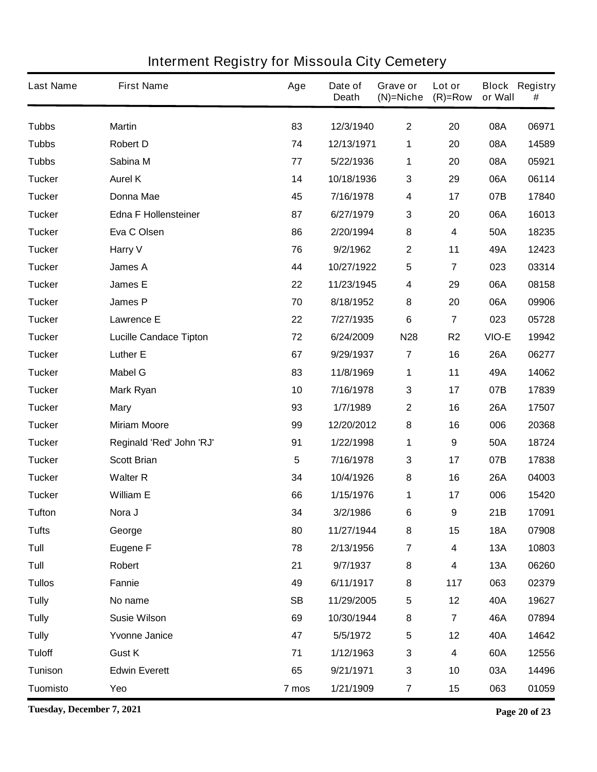| <b>Last Name</b> | <b>First Name</b>             | Age       | Date of<br><b>Death</b> | Grave or<br>$(N)=Niche$ | Lot or<br>$(R)=Row$     | or Wall    | <b>Block Registry</b><br># |
|------------------|-------------------------------|-----------|-------------------------|-------------------------|-------------------------|------------|----------------------------|
| <b>Tubbs</b>     | <b>Martin</b>                 | 83        | 12/3/1940               | $\mathbf{2}$            | 20                      | 08A        | 06971                      |
| <b>Tubbs</b>     | <b>Robert D</b>               | 74        | 12/13/1971              | 1                       | 20                      | 08A        | 14589                      |
| <b>Tubbs</b>     | Sabina M                      | 77        | 5/22/1936               | 1                       | 20                      | 08A        | 05921                      |
| <b>Tucker</b>    | <b>Aurel K</b>                | 14        | 10/18/1936              | 3                       | 29                      | 06A        | 06114                      |
| <b>Tucker</b>    | <b>Donna Mae</b>              | 45        | 7/16/1978               | 4                       | 17                      | 07B        | 17840                      |
| <b>Tucker</b>    | <b>Edna F Hollensteiner</b>   | 87        | 6/27/1979               | 3                       | 20                      | 06A        | 16013                      |
| <b>Tucker</b>    | Eva C Olsen                   | 86        | 2/20/1994               | 8                       | 4                       | 50A        | 18235                      |
| <b>Tucker</b>    | Harry V                       | 76        | 9/2/1962                | $\mathbf 2$             | 11                      | 49A        | 12423                      |
| <b>Tucker</b>    | <b>James A</b>                | 44        | 10/27/1922              | 5                       | 7                       | 023        | 03314                      |
| <b>Tucker</b>    | <b>James E</b>                | 22        | 11/23/1945              | 4                       | 29                      | 06A        | 08158                      |
| <b>Tucker</b>    | <b>James P</b>                | 70        | 8/18/1952               | 8                       | 20                      | 06A        | 09906                      |
| <b>Tucker</b>    | <b>Lawrence E</b>             | 22        | 7/27/1935               | 6                       | $\overline{\mathbf{7}}$ | 023        | 05728                      |
| <b>Tucker</b>    | <b>Lucille Candace Tipton</b> | 72        | 6/24/2009               | <b>N28</b>              | R <sub>2</sub>          | VIO-E      | 19942                      |
| <b>Tucker</b>    | <b>Luther E</b>               | 67        | 9/29/1937               | $\overline{7}$          | 16                      | <b>26A</b> | 06277                      |
| <b>Tucker</b>    | <b>Mabel G</b>                | 83        | 11/8/1969               | 1                       | 11                      | 49A        | 14062                      |
| <b>Tucker</b>    | <b>Mark Ryan</b>              | 10        | 7/16/1978               | 3                       | 17                      | 07B        | 17839                      |
| <b>Tucker</b>    | <b>Mary</b>                   | 93        | 1/7/1989                | $\boldsymbol{2}$        | 16                      | <b>26A</b> | 17507                      |
| <b>Tucker</b>    | <b>Miriam Moore</b>           | 99        | 12/20/2012              | 8                       | 16                      | 006        | 20368                      |
| <b>Tucker</b>    | Reginald 'Red' John 'RJ'      | 91        | 1/22/1998               | 1                       | 9                       | 50A        | 18724                      |
| <b>Tucker</b>    | <b>Scott Brian</b>            | 5         | 7/16/1978               | 3                       | 17                      | 07B        | 17838                      |
| <b>Tucker</b>    | <b>Walter R</b>               | 34        | 10/4/1926               | 8                       | 16                      | <b>26A</b> | 04003                      |
| <b>Tucker</b>    | <b>William E</b>              | 66        | 1/15/1976               | 1                       | 17                      | 006        | 15420                      |
| Tufton           | Nora J                        | 34        | 3/2/1986                | 6                       | 9                       | 21B        | 17091                      |
| <b>Tufts</b>     | George                        | 80        | 11/27/1944              | 8                       | 15                      | <b>18A</b> | 07908                      |
| Tull             | <b>Eugene F</b>               | 78        | 2/13/1956               | $\overline{7}$          | 4                       | 13A        | 10803                      |
| Tull             | Robert                        | 21        | 9/7/1937                | 8                       | 4                       | 13A        | 06260                      |
| <b>Tullos</b>    | <b>Fannie</b>                 | 49        | 6/11/1917               | 8                       | 117                     | 063        | 02379                      |
| <b>Tully</b>     | No name                       | <b>SB</b> | 11/29/2005              | 5                       | 12                      | 40A        | 19627                      |
| <b>Tully</b>     | <b>Susie Wilson</b>           | 69        | 10/30/1944              | 8                       | $\overline{\mathbf{7}}$ | 46A        | 07894                      |
| <b>Tully</b>     | <b>Yvonne Janice</b>          | 47        | 5/5/1972                | 5                       | 12                      | 40A        | 14642                      |
| <b>Tuloff</b>    | <b>Gust K</b>                 | 71        | 1/12/1963               | 3                       | $\overline{\mathbf{4}}$ | 60A        | 12556                      |
| <b>Tunison</b>   | <b>Edwin Everett</b>          | 65        | 9/21/1971               | 3                       | 10                      | 03A        | 14496                      |
| <b>Tuomisto</b>  | Yeo                           | 7 mos     | 1/21/1909               | $\overline{\mathbf{7}}$ | 15                      | 063        | 01059                      |

**Tuesday, December 7, 2021 Page 20 of 23**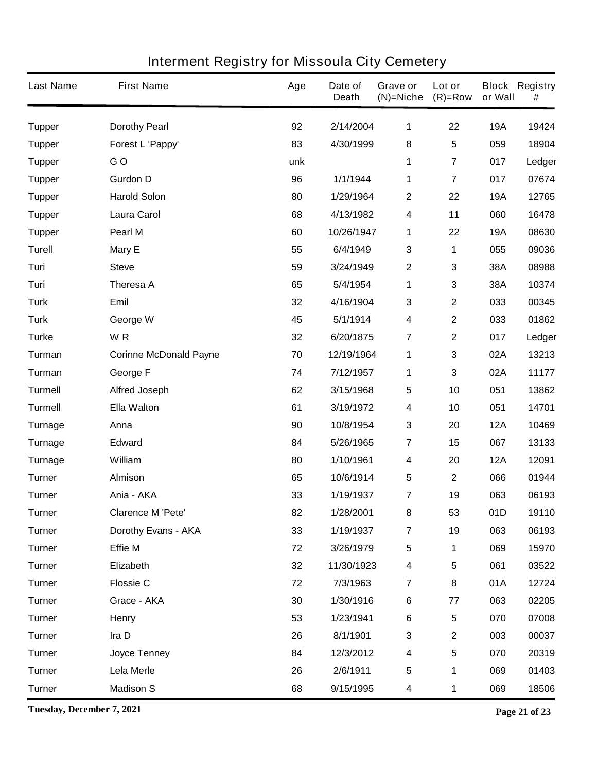| <b>Last Name</b> | <b>First Name</b>             | Age | Date of<br><b>Death</b> | Grave or<br>$(N)$ =Niche | Lot or<br>$(R)=Row$     | or Wall    | <b>Block Registry</b><br># |
|------------------|-------------------------------|-----|-------------------------|--------------------------|-------------------------|------------|----------------------------|
| <b>Tupper</b>    | <b>Dorothy Pearl</b>          | 92  | 2/14/2004               | 1                        | 22                      | <b>19A</b> | 19424                      |
| <b>Tupper</b>    | Forest L 'Pappy'              | 83  | 4/30/1999               | 8                        | 5                       | 059        | 18904                      |
| <b>Tupper</b>    | GO                            | unk |                         | 1                        | $\overline{\mathbf{7}}$ | 017        | Ledger                     |
| <b>Tupper</b>    | <b>Gurdon D</b>               | 96  | 1/1/1944                | 1                        | $\overline{7}$          | 017        | 07674                      |
| <b>Tupper</b>    | <b>Harold Solon</b>           | 80  | 1/29/1964               | 2                        | 22                      | <b>19A</b> | 12765                      |
| <b>Tupper</b>    | <b>Laura Carol</b>            | 68  | 4/13/1982               | 4                        | 11                      | 060        | 16478                      |
| <b>Tupper</b>    | Pearl M                       | 60  | 10/26/1947              | 1                        | 22                      | <b>19A</b> | 08630                      |
| <b>Turell</b>    | <b>Mary E</b>                 | 55  | 6/4/1949                | 3                        | 1                       | 055        | 09036                      |
| Turi             | <b>Steve</b>                  | 59  | 3/24/1949               | $\mathbf 2$              | 3                       | 38A        | 08988                      |
| Turi             | <b>Theresa A</b>              | 65  | 5/4/1954                | 1                        | 3                       | 38A        | 10374                      |
| <b>Turk</b>      | Emil                          | 32  | 4/16/1904               | 3                        | $\mathbf{2}$            | 033        | 00345                      |
| <b>Turk</b>      | George W                      | 45  | 5/1/1914                | 4                        | $\mathbf 2$             | 033        | 01862                      |
| <b>Turke</b>     | WR                            | 32  | 6/20/1875               | $\overline{\mathbf{7}}$  | $\mathbf{2}$            | 017        | Ledger                     |
| Turman           | <b>Corinne McDonald Payne</b> | 70  | 12/19/1964              | 1                        | 3                       | 02A        | 13213                      |
| Turman           | George F                      | 74  | 7/12/1957               | 1                        | 3                       | 02A        | 11177                      |
| <b>Turmell</b>   | <b>Alfred Joseph</b>          | 62  | 3/15/1968               | 5                        | 10                      | 051        | 13862                      |
| <b>Turmell</b>   | <b>Ella Walton</b>            | 61  | 3/19/1972               | 4                        | 10                      | 051        | 14701                      |
| Turnage          | Anna                          | 90  | 10/8/1954               | 3                        | 20                      | <b>12A</b> | 10469                      |
| Turnage          | <b>Edward</b>                 | 84  | 5/26/1965               | $\overline{\mathbf{7}}$  | 15                      | 067        | 13133                      |
| Turnage          | William                       | 80  | 1/10/1961               | 4                        | 20                      | <b>12A</b> | 12091                      |
| <b>Turner</b>    | <b>Almison</b>                | 65  | 10/6/1914               | 5                        | $\mathbf 2$             | 066        | 01944                      |
| <b>Turner</b>    | Ania - AKA                    | 33  | 1/19/1937               | 7                        | 19                      | 063        | 06193                      |
| <b>Turner</b>    | <b>Clarence M 'Pete'</b>      | 82  | 1/28/2001               | 8                        | 53                      | 01D        | 19110                      |
| <b>Turner</b>    | Dorothy Evans - AKA           | 33  | 1/19/1937               | $\overline{\mathbf{7}}$  | 19                      | 063        | 06193                      |
| <b>Turner</b>    | <b>Effie M</b>                | 72  | 3/26/1979               | $\overline{\mathbf{5}}$  | 1                       | 069        | 15970                      |
| <b>Turner</b>    | Elizabeth                     | 32  | 11/30/1923              | $\overline{\mathbf{4}}$  | 5                       | 061        | 03522                      |
| <b>Turner</b>    | <b>Flossie C</b>              | 72  | 7/3/1963                | $\overline{\mathbf{7}}$  | 8                       | 01A        | 12724                      |
| <b>Turner</b>    | Grace - AKA                   | 30  | 1/30/1916               | 6                        | 77                      | 063        | 02205                      |
| <b>Turner</b>    | Henry                         | 53  | 1/23/1941               | 6                        | 5                       | 070        | 07008                      |
| <b>Turner</b>    | Ira D                         | 26  | 8/1/1901                | $\mathbf 3$              | $\mathbf 2$             | 003        | 00037                      |
| <b>Turner</b>    | Joyce Tenney                  | 84  | 12/3/2012               | 4                        | 5                       | 070        | 20319                      |
| <b>Turner</b>    | Lela Merle                    | 26  | 2/6/1911                | $\overline{\mathbf{5}}$  | 1                       | 069        | 01403                      |
| <b>Turner</b>    | <b>Madison S</b>              | 68  | 9/15/1995               | 4                        | 1                       | 069        | 18506                      |

**Tuesday, December 7, 2021 Page 21 of 23**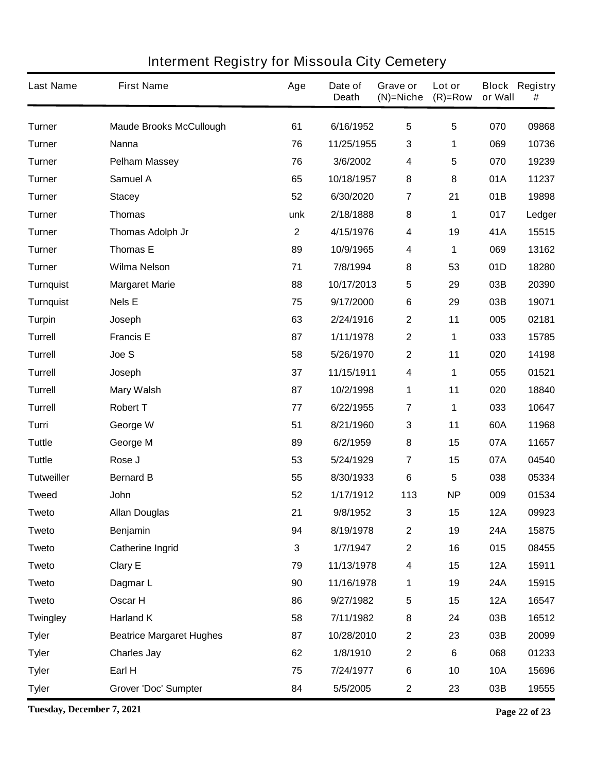| <b>Last Name</b>  | <b>First Name</b>               | Age         | Date of<br><b>Death</b> | Grave or<br>$(N)$ =Niche | Lot or<br>$(R)=Row$ | or Wall    | <b>Block Registry</b><br># |
|-------------------|---------------------------------|-------------|-------------------------|--------------------------|---------------------|------------|----------------------------|
| <b>Turner</b>     | <b>Maude Brooks McCullough</b>  | 61          | 6/16/1952               | $5\phantom{.0}$          | $5\phantom{.0}$     | 070        | 09868                      |
| <b>Turner</b>     | <b>Nanna</b>                    | 76          | 11/25/1955              | 3                        | 1                   | 069        | 10736                      |
| <b>Turner</b>     | <b>Pelham Massey</b>            | 76          | 3/6/2002                | 4                        | 5                   | 070        | 19239                      |
| <b>Turner</b>     | <b>Samuel A</b>                 | 65          | 10/18/1957              | 8                        | 8                   | 01A        | 11237                      |
| <b>Turner</b>     | <b>Stacey</b>                   | 52          | 6/30/2020               | 7                        | 21                  | 01B        | 19898                      |
| <b>Turner</b>     | <b>Thomas</b>                   | unk         | 2/18/1888               | 8                        | 1                   | 017        | Ledger                     |
| <b>Turner</b>     | Thomas Adolph Jr                | $\mathbf 2$ | 4/15/1976               | 4                        | 19                  | 41A        | 15515                      |
| <b>Turner</b>     | <b>Thomas E</b>                 | 89          | 10/9/1965               | 4                        | 1                   | 069        | 13162                      |
| <b>Turner</b>     | <b>Wilma Nelson</b>             | 71          | 7/8/1994                | 8                        | 53                  | 01D        | 18280                      |
| <b>Turnquist</b>  | <b>Margaret Marie</b>           | 88          | 10/17/2013              | 5                        | 29                  | 03B        | 20390                      |
| <b>Turnquist</b>  | <b>Nels E</b>                   | 75          | 9/17/2000               | 6                        | 29                  | 03B        | 19071                      |
| <b>Turpin</b>     | Joseph                          | 63          | 2/24/1916               | $\boldsymbol{2}$         | 11                  | 005        | 02181                      |
| <b>Turrell</b>    | <b>Francis E</b>                | 87          | 1/11/1978               | 2                        | 1                   | 033        | 15785                      |
| <b>Turrell</b>    | Joe S                           | 58          | 5/26/1970               | 2                        | 11                  | 020        | 14198                      |
| <b>Turrell</b>    | Joseph                          | 37          | 11/15/1911              | 4                        | 1                   | 055        | 01521                      |
| <b>Turrell</b>    | <b>Mary Walsh</b>               | 87          | 10/2/1998               | 1                        | 11                  | 020        | 18840                      |
| <b>Turrell</b>    | <b>Robert T</b>                 | 77          | 6/22/1955               | 7                        | 1                   | 033        | 10647                      |
| Turri             | George W                        | 51          | 8/21/1960               | 3                        | 11                  | 60A        | 11968                      |
| <b>Tuttle</b>     | George M                        | 89          | 6/2/1959                | 8                        | 15                  | 07A        | 11657                      |
| <b>Tuttle</b>     | Rose J                          | 53          | 5/24/1929               | $\overline{\mathbf{7}}$  | 15                  | 07A        | 04540                      |
| <b>Tutweiller</b> | <b>Bernard B</b>                | 55          | 8/30/1933               | 6                        | 5                   | 038        | 05334                      |
| <b>Tweed</b>      | John                            | 52          | 1/17/1912               | 113                      | <b>NP</b>           | 009        | 01534                      |
| Tweto             | <b>Allan Douglas</b>            | 21          | 9/8/1952                | 3                        | 15                  | 12A        | 09923                      |
| <b>Tweto</b>      | Benjamin                        | 94          | 8/19/1978               | $\mathbf 2$              | 19                  | 24A        | 15875                      |
| <b>Tweto</b>      | <b>Catherine Ingrid</b>         | 3           | 1/7/1947                | $\mathbf 2$              | 16                  | 015        | 08455                      |
| <b>Tweto</b>      | <b>Clary E</b>                  | 79          | 11/13/1978              | 4                        | 15                  | <b>12A</b> | 15911                      |
| <b>Tweto</b>      | Dagmar L                        | 90          | 11/16/1978              | 1                        | 19                  | 24A        | 15915                      |
| <b>Tweto</b>      | Oscar H                         | 86          | 9/27/1982               | 5                        | 15                  | <b>12A</b> | 16547                      |
| <b>Twingley</b>   | <b>Harland K</b>                | 58          | 7/11/1982               | 8                        | 24                  | 03B        | 16512                      |
| <b>Tyler</b>      | <b>Beatrice Margaret Hughes</b> | 87          | 10/28/2010              | $\mathbf 2$              | 23                  | 03B        | 20099                      |
| <b>Tyler</b>      | <b>Charles Jay</b>              | 62          | 1/8/1910                | $\mathbf 2$              | 6                   | 068        | 01233                      |
| <b>Tyler</b>      | Earl H                          | 75          | 7/24/1977               | 6                        | 10                  | <b>10A</b> | 15696                      |
| <b>Tyler</b>      | <b>Grover 'Doc' Sumpter</b>     | 84          | 5/5/2005                | $\mathbf 2$              | 23                  | 03B        | 19555                      |

**Tuesday, December 7, 2021 Page 22 of 23**